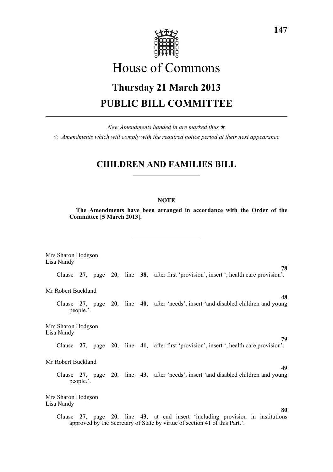

# House of Commons

# **Thursday 21 March 2013 PUBLIC BILL COMMITTEE**

*New Amendments handed in are marked thus* \*  $\dot{\varphi}$  *Amendments which will comply with the required notice period at their next appearance* 

# **CHILDREN AND FAMILIES BILL**

## **NOTE**

**The Amendments have been arranged in accordance with the Order of the Committee [5 March 2013].**

Mrs Sharon Hodgson Lisa Nandy **78** Clause **27**, page **20**, line **38**, after first 'provision', insert ', health care provision'. Mr Robert Buckland **48** Clause **27**, page **20**, line **40**, after 'needs', insert 'and disabled children and young people.'. Mrs Sharon Hodgson Lisa Nandy **79** Clause **27**, page **20**, line **41**, after first 'provision', insert ', health care provision'. Mr Robert Buckland **49** Clause **27**, page **20**, line **43**, after 'needs', insert 'and disabled children and young people.'. Mrs Sharon Hodgson Lisa Nandy **80** Clause **27**, page **20**, line **43**, at end insert 'including provision in institutions approved by the Secretary of State by virtue of section 41 of this Part.'.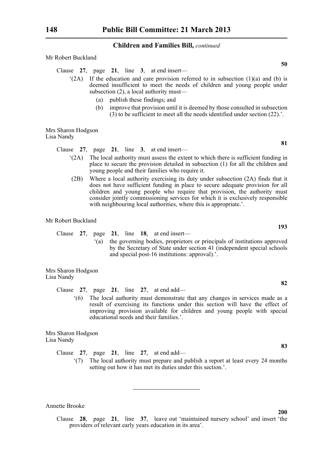Mr Robert Buckland

- Clause **27**, page **21**, line **3**, at end insert—
	- $(2A)$  If the education and care provision referred to in subsection  $(1)(a)$  and  $(b)$  is deemed insufficient to meet the needs of children and young people under subsection (2), a local authority must—
		- (a) publish these findings; and
		- (b) improve that provision until it is deemed by those consulted in subsection  $(3)$  to be sufficient to meet all the needs identified under section  $(22)$ .'.

Mrs Sharon Hodgson Lisa Nandy

Clause **27**, page **21**, line **3**, at end insert—

- '(2A) The local authority must assess the extent to which there is sufficient funding in place to secure the provision detailed in subsection (1) for all the children and young people and their families who require it.
- (2B) Where a local authority exercising its duty under subsection (2A) finds that it does not have sufficient funding in place to secure adequate provision for all children and young people who require that provision, the authority must consider jointly commissioning services for which it is exclusively responsible with neighbouring local authorities, where this is appropriate.'.

Mr Robert Buckland

Clause **27**, page **21**, line **18**, at end insert—

'(a) the governing bodies, proprietors or principals of institutions approved by the Secretary of State under section 41 (independent special schools and special post-16 institutions: approval).'.

Mrs Sharon Hodgson Lisa Nandy

Clause **27**, page **21**, line **27**, at end add—

'(6) The local authority must demonstrate that any changes in services made as a result of exercising its functions under this section will have the effect of improving provision available for children and young people with special educational needs and their families.'.

Mrs Sharon Hodgson Lisa Nandy

Clause **27**, page **21**, line **27**, at end add—

'(7) The local authority must prepare and publish a report at least every 24 months setting out how it has met its duties under this section.'.

Annette Brooke

Clause **28**, page **21**, line **37**, leave out 'maintained nursery school' and insert 'the providers of relevant early years education in its area'.

**50**

**193**

**82**

**83**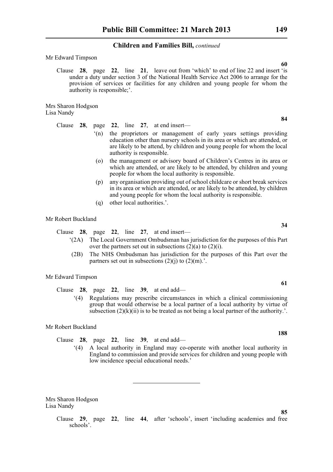Mr Edward Timpson

Clause **28**, page **22**, line **21**, leave out from 'which' to end of line 22 and insert 'is under a duty under section 3 of the National Health Service Act 2006 to arrange for the provision of services or facilities for any children and young people for whom the authority is responsible;'.

Mrs Sharon Hodgson Lisa Nandy

Clause **28**, page **22**, line **27**, at end insert—

- '(n) the proprietors or management of early years settings providing education other than nursery schools in its area or which are attended, or are likely to be attend, by children and young people for whom the local authority is responsible.
- (o) the management or advisory board of Children's Centres in its area or which are attended, or are likely to be attended, by children and young people for whom the local authority is responsible.
- (p) any organisation providing out of school childcare or short break services in its area or which are attended, or are likely to be attended, by children and young people for whom the local authority is responsible.
- (q) other local authorities.'.

#### Mr Robert Buckland

Clause **28**, page **22**, line **27**, at end insert—

- '(2A) The Local Government Ombudsman has jurisdiction for the purposes of this Part over the partners set out in subsections  $(2)(a)$  to  $(2)(i)$ .
- (2B) The NHS Ombudsman has jurisdiction for the purposes of this Part over the partners set out in subsections  $(2)(i)$  to  $(2)(m)$ .

#### Mr Edward Timpson

Clause **28**, page **22**, line **39**, at end add—

'(4) Regulations may prescribe circumstances in which a clinical commissioning group that would otherwise be a local partner of a local authority by virtue of subsection  $(2)(k)(ii)$  is to be treated as not being a local partner of the authority.'.

Mr Robert Buckland

- Clause **28**, page **22**, line **39**, at end add—
	- '(4) A local authority in England may co-operate with another local authority in England to commission and provide services for children and young people with low incidence special educational needs.'

Mrs Sharon Hodgson Lisa Nandy

> Clause **29**, page **22**, line **44**, after 'schools', insert 'including academies and free schools'.

**60**

**84**

**34**

**85**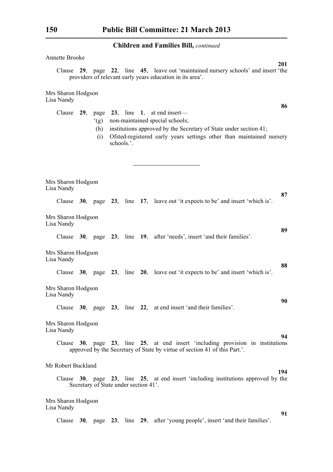| <b>Annette Brooke</b>                                                                                                                                                                                                                                               |    |
|---------------------------------------------------------------------------------------------------------------------------------------------------------------------------------------------------------------------------------------------------------------------|----|
| 201<br>Clause 29, page 22, line 45, leave out 'maintained nursery schools' and insert 'the<br>providers of relevant early years education in its area'.                                                                                                             |    |
| Mrs Sharon Hodgson<br>Lisa Nandy                                                                                                                                                                                                                                    |    |
| Clause $29$ , page $23$ , line 1, at end insert—<br>non-maintained special schools;<br>(g)<br>institutions approved by the Secretary of State under section 41;<br>(h)<br>Ofsted-registered early years settings other than maintained nursery<br>(i)<br>schools.'. | 86 |
| Mrs Sharon Hodgson<br>Lisa Nandy                                                                                                                                                                                                                                    |    |
| Clause 30, page 23, line 17, leave out 'it expects to be' and insert 'which is'.                                                                                                                                                                                    | 87 |
| Mrs Sharon Hodgson<br>Lisa Nandy                                                                                                                                                                                                                                    | 89 |
| Clause 30, page 23, line 19, after 'needs', insert 'and their families'.                                                                                                                                                                                            |    |
| Mrs Sharon Hodgson<br>Lisa Nandy                                                                                                                                                                                                                                    | 88 |
| Clause $30$ , page $23$ , line $20$ , leave out 'it expects to be' and insert 'which is'.                                                                                                                                                                           |    |
| Mrs Sharon Hodgson<br>Lisa Nandy                                                                                                                                                                                                                                    | 90 |
| Clause 30, page 23, line 22, at end insert 'and their families'.                                                                                                                                                                                                    |    |
| Mrs Sharon Hodgson<br>Lisa Nandy                                                                                                                                                                                                                                    | 94 |
| Clause $30$ , page $23$ , line $25$ , at end insert 'including provision in institutions<br>approved by the Secretary of State by virtue of section 41 of this Part.'.                                                                                              |    |
| Mr Robert Buckland<br>194                                                                                                                                                                                                                                           |    |
| Clause 30, page 23, line 25, at end insert 'including institutions approved by the<br>Secretary of State under section 41'.                                                                                                                                         |    |
| Mrs Sharon Hodgson<br>Lisa Nandy                                                                                                                                                                                                                                    |    |
| Clause 30, page 23, line 29, after 'young people', insert 'and their families'.                                                                                                                                                                                     | 91 |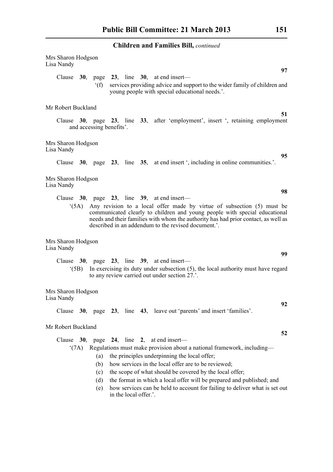| Mrs Sharon Hodgson<br>Lisa Nandy |                                 |                       | 97                                                                                                                                                                                                                                                                                                                                                                                                                                                           |
|----------------------------------|---------------------------------|-----------------------|--------------------------------------------------------------------------------------------------------------------------------------------------------------------------------------------------------------------------------------------------------------------------------------------------------------------------------------------------------------------------------------------------------------------------------------------------------------|
|                                  | f(f)                            |                       | Clause $30$ , page $23$ , line $30$ , at end insert—<br>services providing advice and support to the wider family of children and<br>young people with special educational needs.'.                                                                                                                                                                                                                                                                          |
| Mr Robert Buckland               |                                 |                       | 51                                                                                                                                                                                                                                                                                                                                                                                                                                                           |
|                                  | and accessing benefits'.        |                       | Clause 30, page 23, line 33, after 'employment', insert ', retaining employment                                                                                                                                                                                                                                                                                                                                                                              |
| Mrs Sharon Hodgson<br>Lisa Nandy |                                 |                       |                                                                                                                                                                                                                                                                                                                                                                                                                                                              |
|                                  |                                 |                       | 95<br>Clause 30, page 23, line 35, at end insert ', including in online communities.'.                                                                                                                                                                                                                                                                                                                                                                       |
| Mrs Sharon Hodgson<br>Lisa Nandy |                                 |                       |                                                                                                                                                                                                                                                                                                                                                                                                                                                              |
|                                  |                                 |                       | 98<br>Clause $30$ , page $23$ , line $39$ , at end insert—                                                                                                                                                                                                                                                                                                                                                                                                   |
| (5A)                             |                                 |                       | Any revision to a local offer made by virtue of subsection (5) must be<br>communicated clearly to children and young people with special educational<br>needs and their families with whom the authority has had prior contact, as well as<br>described in an addendum to the revised document.'.                                                                                                                                                            |
| Mrs Sharon Hodgson<br>Lisa Nandy |                                 |                       | 99                                                                                                                                                                                                                                                                                                                                                                                                                                                           |
| $^{\circ}$ (5B)                  |                                 |                       | Clause $30$ , page $23$ , line $39$ , at end insert—<br>In exercising its duty under subsection $(5)$ , the local authority must have regard<br>to any review carried out under section 27.'.                                                                                                                                                                                                                                                                |
| Mrs Sharon Hodgson<br>Lisa Nandy |                                 |                       |                                                                                                                                                                                                                                                                                                                                                                                                                                                              |
|                                  |                                 |                       | 92<br>Clause 30, page 23, line 43, leave out 'parents' and insert 'families'.                                                                                                                                                                                                                                                                                                                                                                                |
| Mr Robert Buckland               |                                 |                       |                                                                                                                                                                                                                                                                                                                                                                                                                                                              |
| (7A)                             | (a)<br>(b)<br>(c)<br>(d)<br>(e) | in the local offer.'. | 52<br>Clause $30$ , page $24$ , line $2$ , at end insert—<br>Regulations must make provision about a national framework, including-<br>the principles underpinning the local offer;<br>how services in the local offer are to be reviewed;<br>the scope of what should be covered by the local offer;<br>the format in which a local offer will be prepared and published; and<br>how services can be held to account for failing to deliver what is set out |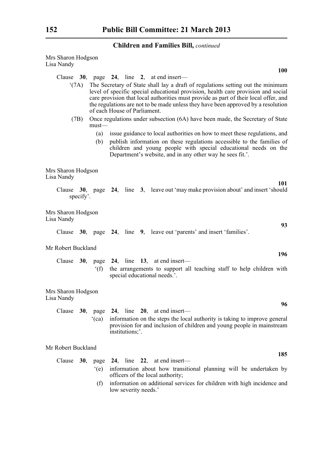| Mrs Sharon Hodgson<br>Lisa Nandy |                |                                                                                                                                                                                                                                                                                                                                                                                   |
|----------------------------------|----------------|-----------------------------------------------------------------------------------------------------------------------------------------------------------------------------------------------------------------------------------------------------------------------------------------------------------------------------------------------------------------------------------|
|                                  |                | <b>100</b>                                                                                                                                                                                                                                                                                                                                                                        |
|                                  |                | Clause $30$ , page $24$ , line 2, at end insert—                                                                                                                                                                                                                                                                                                                                  |
| $^{\circ}$ (7A)                  |                | The Secretary of State shall lay a draft of regulations setting out the minimum<br>level of specific special educational provision, health care provision and social<br>care provision that local authorities must provide as part of their local offer, and<br>the regulations are not to be made unless they have been approved by a resolution<br>of each House of Parliament. |
| (7B)                             | $must$ —       | Once regulations under subsection (6A) have been made, the Secretary of State                                                                                                                                                                                                                                                                                                     |
|                                  | (a)            | issue guidance to local authorities on how to meet these regulations, and                                                                                                                                                                                                                                                                                                         |
|                                  | (b)            | publish information on these regulations accessible to the families of<br>children and young people with special educational needs on the<br>Department's website, and in any other way he sees fit.'.                                                                                                                                                                            |
| Mrs Sharon Hodgson<br>Lisa Nandy |                |                                                                                                                                                                                                                                                                                                                                                                                   |
| specify'.                        |                | 101<br>Clause 30, page 24, line 3, leave out 'may make provision about' and insert 'should                                                                                                                                                                                                                                                                                        |
| Mrs Sharon Hodgson<br>Lisa Nandy |                | 93                                                                                                                                                                                                                                                                                                                                                                                |
|                                  |                | Clause 30, page 24, line 9, leave out 'parents' and insert 'families'.                                                                                                                                                                                                                                                                                                            |
| Mr Robert Buckland               |                | 196                                                                                                                                                                                                                                                                                                                                                                               |
|                                  |                | Clause $30$ , page $24$ , line 13, at end insert—                                                                                                                                                                                                                                                                                                                                 |
|                                  | $^{\circ}$ (f) | the arrangements to support all teaching staff to help children with<br>special educational needs.'.                                                                                                                                                                                                                                                                              |
| Mrs Sharon Hodgson<br>Lisa Nandy |                |                                                                                                                                                                                                                                                                                                                                                                                   |
|                                  |                | 96                                                                                                                                                                                                                                                                                                                                                                                |
| Clause                           | (ca)           | 30, page $24$ , line $20$ , at end insert-<br>information on the steps the local authority is taking to improve general<br>provision for and inclusion of children and young people in mainstream<br>institutions;'.                                                                                                                                                              |
| Mr Robert Buckland               |                | 185                                                                                                                                                                                                                                                                                                                                                                               |
| Clause<br>30,                    |                | page 24, line 22, at end insert-                                                                                                                                                                                                                                                                                                                                                  |
|                                  | $\degree$ (e)  | information about how transitional planning will be undertaken by<br>officers of the local authority;                                                                                                                                                                                                                                                                             |
|                                  | (f)            | information on additional services for children with high incidence and<br>low severity needs.'                                                                                                                                                                                                                                                                                   |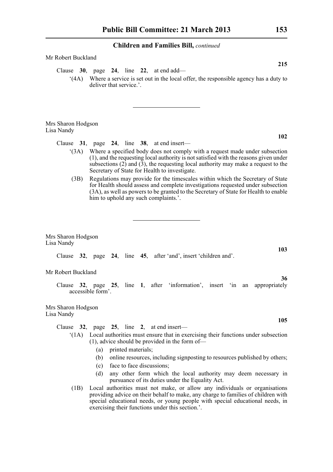Mr Robert Buckland

| 215<br>Clause 30, page 24, line 22, at end add—                                                                                                                                                                                                                                                                                                                              |
|------------------------------------------------------------------------------------------------------------------------------------------------------------------------------------------------------------------------------------------------------------------------------------------------------------------------------------------------------------------------------|
| Where a service is set out in the local offer, the responsible agency has a duty to<br>(4A)<br>deliver that service.'.                                                                                                                                                                                                                                                       |
|                                                                                                                                                                                                                                                                                                                                                                              |
| Mrs Sharon Hodgson<br>Lisa Nandy                                                                                                                                                                                                                                                                                                                                             |
| 102                                                                                                                                                                                                                                                                                                                                                                          |
| Clause $31$ , page $24$ , line $38$ , at end insert—<br>(3A) Where a specified body does not comply with a request made under subsection<br>(1), and the requesting local authority is not satisfied with the reasons given under<br>subsections $(2)$ and $(3)$ , the requesting local authority may make a request to the<br>Secretary of State for Health to investigate. |
| Regulations may provide for the timescales within which the Secretary of State<br>(3B)<br>for Health should assess and complete investigations requested under subsection<br>(3A), as well as powers to be granted to the Secretary of State for Health to enable<br>him to uphold any such complaints.'.                                                                    |
| Mrs Sharon Hodgson<br>Lisa Nandy<br>103                                                                                                                                                                                                                                                                                                                                      |
| Clause 32, page 24, line 45, after 'and', insert 'children and'.                                                                                                                                                                                                                                                                                                             |
| Mr Robert Buckland                                                                                                                                                                                                                                                                                                                                                           |
| 36<br>Clause 32, page 25, line 1, after 'information', insert 'in an appropriately<br>accessible form'.                                                                                                                                                                                                                                                                      |
| Mrs Sharon Hodgson<br>Lisa Nandy                                                                                                                                                                                                                                                                                                                                             |
| 105                                                                                                                                                                                                                                                                                                                                                                          |
| page $25$ , line 2, at end insert—<br>Clause<br>32,<br>Local authorities must ensure that in exercising their functions under subsection<br>(1A)<br>$(1)$ , advice should be provided in the form of-<br>printed materials;                                                                                                                                                  |
| (a)<br>online resources, including signposting to resources published by others;<br>(b)                                                                                                                                                                                                                                                                                      |

- (c) face to face discussions;
- (d) any other form which the local authority may deem necessary in pursuance of its duties under the Equality Act.
- (1B) Local authorities must not make, or allow any individuals or organisations providing advice on their behalf to make, any charge to families of children with special educational needs, or young people with special educational needs, in exercising their functions under this section.'.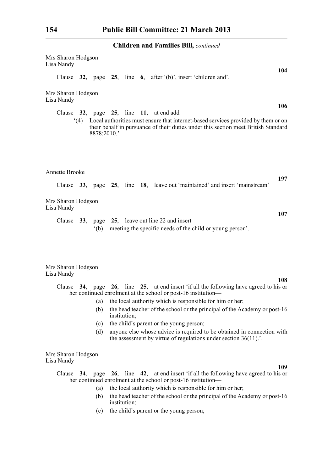| Mrs Sharon Hodgson<br>Lisa Nandy                  |                |                                         |  |  |                                                                                                                                                                                                                                                                                                      |  | 104 |
|---------------------------------------------------|----------------|-----------------------------------------|--|--|------------------------------------------------------------------------------------------------------------------------------------------------------------------------------------------------------------------------------------------------------------------------------------------------------|--|-----|
|                                                   |                |                                         |  |  | Clause 32, page 25, line 6, after $(b)$ , insert 'children and'.                                                                                                                                                                                                                                     |  |     |
| Mrs Sharon Hodgson<br>Lisa Nandy                  |                |                                         |  |  |                                                                                                                                                                                                                                                                                                      |  |     |
| Clause 32, page 25, line 11, at end add—          |                |                                         |  |  | (4) Local authorities must ensure that internet-based services provided by them or on                                                                                                                                                                                                                |  | 106 |
|                                                   | 8878:2010.'.   |                                         |  |  | their behalf in pursuance of their duties under this section meet British Standard                                                                                                                                                                                                                   |  |     |
| <b>Annette Brooke</b>                             |                |                                         |  |  |                                                                                                                                                                                                                                                                                                      |  | 197 |
|                                                   |                |                                         |  |  | Clause 33, page 25, line 18, leave out 'maintained' and insert 'mainstream'                                                                                                                                                                                                                          |  |     |
| Mrs Sharon Hodgson<br>Lisa Nandy                  |                |                                         |  |  |                                                                                                                                                                                                                                                                                                      |  |     |
| Clause 33, page 25, leave out line 22 and insert— | $^{\circ}$ (b) |                                         |  |  | meeting the specific needs of the child or young person'.                                                                                                                                                                                                                                            |  | 107 |
| Mrs Sharon Hodgson<br>Lisa Nandy                  |                |                                         |  |  |                                                                                                                                                                                                                                                                                                      |  |     |
|                                                   |                |                                         |  |  | Clause 34, page 26, line 25, at end insert 'if all the following have agreed to his or<br>her continued enrolment at the school or post-16 institution—                                                                                                                                              |  | 108 |
|                                                   | (b)            | institution;                            |  |  | (a) the local authority which is responsible for him or her;<br>the head teacher of the school or the principal of the Academy or post-16                                                                                                                                                            |  |     |
|                                                   | (c)<br>(d)     | the child's parent or the young person; |  |  | anyone else whose advice is required to be obtained in connection with<br>the assessment by virtue of regulations under section $36(11)$                                                                                                                                                             |  |     |
| Mrs Sharon Hodgson<br>Lisa Nandy                  |                |                                         |  |  |                                                                                                                                                                                                                                                                                                      |  |     |
|                                                   | (a)            |                                         |  |  | Clause 34, page 26, line 42, at end insert 'if all the following have agreed to his or<br>her continued enrolment at the school or post-16 institution-<br>the local authority which is responsible for him or her;<br>(b) the head teacher of the school or the principal of the Academy or post-16 |  | 109 |

- (b) the head teacher of the school or the principal of the Academy or post-16 institution;
- (c) the child's parent or the young person;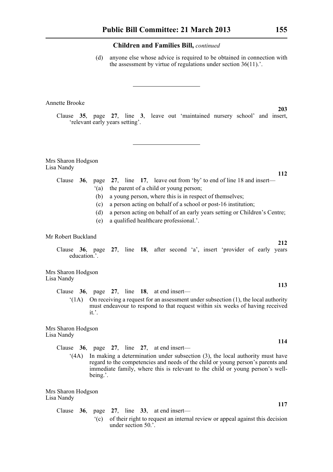(d) anyone else whose advice is required to be obtained in connection with the assessment by virtue of regulations under section 36(11).'.

#### Annette Brooke

Clause **35**, page **27**, line **3**, leave out 'maintained nursery school' and insert, 'relevant early years setting'.

Mrs Sharon Hodgson Lisa Nandy

## Clause **36**, page **27**, line **17**, leave out from 'by' to end of line 18 and insert—

- '(a) the parent of a child or young person;
- (b) a young person, where this is in respect of themselves;
- (c) a person acting on behalf of a school or post-16 institution;
- (d) a person acting on behalf of an early years setting or Children's Centre;
- (e) a qualified healthcare professional.'.

#### Mr Robert Buckland

Clause **36**, page **27**, line **18**, after second 'a', insert 'provider of early years education.'.

Mrs Sharon Hodgson Lisa Nandy

- Clause **36**, page **27**, line **18**, at end insert—
	- $'(1A)$  On receiving a request for an assessment under subsection (1), the local authority must endeavour to respond to that request within six weeks of having received it.'.

### Mrs Sharon Hodgson Lisa Nandy

- Clause **36**, page **27**, line **27**, at end insert—
	- '(4A) In making a determination under subsection (3), the local authority must have regard to the competencies and needs of the child or young person's parents and immediate family, where this is relevant to the child or young person's wellbeing.'.

Mrs Sharon Hodgson Lisa Nandy

> Clause **36**, page **27**, line **33**, at end insert— '(c) of their right to request an internal review or appeal against this decision under section 50.'.

**112**

**203**

**113**

**114**

**117**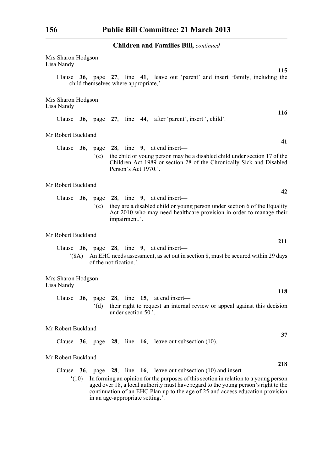| Mrs Sharon Hodgson<br>Lisa Nandy |      |                                       |                      |                                                                  |  |  |                                                                                                                                                                                                                                                               | 115 |
|----------------------------------|------|---------------------------------------|----------------------|------------------------------------------------------------------|--|--|---------------------------------------------------------------------------------------------------------------------------------------------------------------------------------------------------------------------------------------------------------------|-----|
|                                  |      | child themselves where appropriate,'. |                      |                                                                  |  |  | Clause 36, page 27, line 41, leave out 'parent' and insert 'family, including the                                                                                                                                                                             |     |
| Mrs Sharon Hodgson<br>Lisa Nandy |      |                                       |                      |                                                                  |  |  |                                                                                                                                                                                                                                                               |     |
|                                  |      |                                       |                      | Clause 36, page 27, line 44, after 'parent', insert ', child'.   |  |  |                                                                                                                                                                                                                                                               | 116 |
| Mr Robert Buckland               |      |                                       |                      |                                                                  |  |  |                                                                                                                                                                                                                                                               |     |
|                                  |      | $\degree$ (c)                         | Person's Act 1970.'. | Clause $36$ , page $28$ , line 9, at end insert—                 |  |  | the child or young person may be a disabled child under section 17 of the<br>Children Act 1989 or section 28 of the Chronically Sick and Disabled                                                                                                             | 41  |
| Mr Robert Buckland               |      |                                       |                      |                                                                  |  |  |                                                                                                                                                                                                                                                               |     |
|                                  |      | $\degree$ (c)                         | impairment.'.        | Clause $36$ , page $28$ , line 9, at end insert—                 |  |  | they are a disabled child or young person under section 6 of the Equality<br>Act 2010 who may need healthcare provision in order to manage their                                                                                                              | 42  |
| Mr Robert Buckland               |      |                                       |                      |                                                                  |  |  |                                                                                                                                                                                                                                                               | 211 |
|                                  | (8A) | of the notification.'.                |                      | Clause 36, page 28, line 9, at end insert-                       |  |  | An EHC needs assessment, as set out in section 8, must be secured within 29 days                                                                                                                                                                              |     |
| Mrs Sharon Hodgson<br>Lisa Nandy |      |                                       |                      |                                                                  |  |  |                                                                                                                                                                                                                                                               |     |
|                                  |      |                                       |                      | Clause $36$ , page $28$ , line 15, at end insert—                |  |  |                                                                                                                                                                                                                                                               | 118 |
|                                  |      | $\degree$ (d)                         | under section 50.'.  |                                                                  |  |  | their right to request an internal review or appeal against this decision                                                                                                                                                                                     |     |
| Mr Robert Buckland               |      |                                       |                      |                                                                  |  |  |                                                                                                                                                                                                                                                               |     |
|                                  |      |                                       |                      | Clause $36$ , page $28$ , line $16$ , leave out subsection (10). |  |  |                                                                                                                                                                                                                                                               | 37  |
| Mr Robert Buckland               |      |                                       |                      |                                                                  |  |  |                                                                                                                                                                                                                                                               |     |
| Clause $36$ , page $28$ ,        |      |                                       |                      | line $\overline{16}$ , leave out subsection (10) and insert—     |  |  |                                                                                                                                                                                                                                                               | 218 |
|                                  | (10) | in an age-appropriate setting.'.      |                      |                                                                  |  |  | In forming an opinion for the purposes of this section in relation to a young person<br>aged over 18, a local authority must have regard to the young person's right to the<br>continuation of an EHC Plan up to the age of 25 and access education provision |     |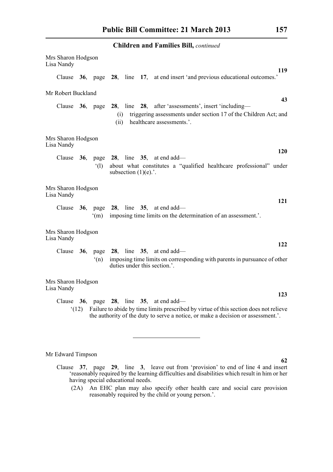|                                  |      |                  | <b>Children and Families Bill, continued</b>                                                                                                                               |
|----------------------------------|------|------------------|----------------------------------------------------------------------------------------------------------------------------------------------------------------------------|
| Mrs Sharon Hodgson<br>Lisa Nandy |      |                  |                                                                                                                                                                            |
| Clause                           |      |                  | 119<br>36, page 28, line 17, at end insert 'and previous educational outcomes.'                                                                                            |
| Mr Robert Buckland               |      |                  |                                                                                                                                                                            |
| Clause                           |      | <b>36</b> , page | 43<br>28, line 28, after 'assessments', insert 'including-<br>triggering assessments under section 17 of the Children Act; and<br>(i)<br>healthcare assessments.'.<br>(ii) |
| Mrs Sharon Hodgson<br>Lisa Nandy |      |                  |                                                                                                                                                                            |
| Clause                           |      | $^{\circ}$ (1)   | 120<br><b>36</b> , page <b>28</b> , line <b>35</b> , at end add—<br>about what constitutes a "qualified healthcare professional" under<br>subsection $(1)(e)$ .'.          |
| Mrs Sharon Hodgson<br>Lisa Nandy |      |                  |                                                                                                                                                                            |
|                                  |      | (m)              | 121<br>Clause $36$ , page $28$ , line $35$ , at end add—<br>imposing time limits on the determination of an assessment.'.                                                  |
| Mrs Sharon Hodgson<br>Lisa Nandy |      |                  |                                                                                                                                                                            |
|                                  |      | (n)              | 122<br>Clause 36, page 28, line 35, at end add—<br>imposing time limits on corresponding with parents in pursuance of other<br>duties under this section.'.                |
| Mrs Sharon Hodgson<br>Lisa Nandy |      |                  |                                                                                                                                                                            |
| Clause                           |      |                  | 123<br><b>36</b> , page <b>28</b> , line <b>35</b> , at end add—                                                                                                           |
|                                  | (12) |                  | Failure to abide by time limits prescribed by virtue of this section does not relieve<br>the authority of the duty to serve a notice, or make a decision or assessment.'.  |

# Mr Edward Timpson

(2A) An EHC plan may also specify other health care and social care provision reasonably required by the child or young person.'.

Clause **37**, page **29**, line **3**, leave out from 'provision' to end of line 4 and insert 'reasonably required by the learning difficulties and disabilities which result in him or her having special educational needs.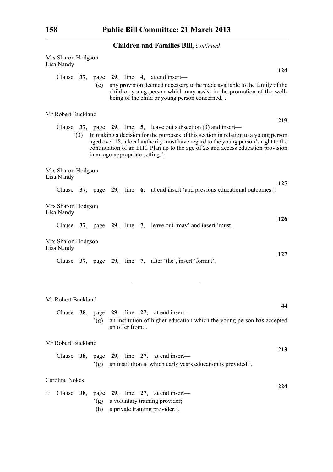|   | Mrs Sharon Hodgson<br>Lisa Nandy |     |               |                  |                                                                                                                                                                                                                                                                                                                                                                            |            |
|---|----------------------------------|-----|---------------|------------------|----------------------------------------------------------------------------------------------------------------------------------------------------------------------------------------------------------------------------------------------------------------------------------------------------------------------------------------------------------------------------|------------|
|   |                                  |     | $\degree$ (e) |                  | Clause $37$ , page $29$ , line 4, at end insert—<br>any provision deemed necessary to be made available to the family of the<br>child or young person which may assist in the promotion of the well-<br>being of the child or young person concerned.'.                                                                                                                    | 124        |
|   | Mr Robert Buckland               |     |               |                  |                                                                                                                                                                                                                                                                                                                                                                            |            |
|   |                                  | (3) |               |                  | Clause $37$ , page $29$ , line 5, leave out subsection (3) and insert—<br>In making a decision for the purposes of this section in relation to a young person<br>aged over 18, a local authority must have regard to the young person's right to the<br>continuation of an EHC Plan up to the age of 25 and access education provision<br>in an age-appropriate setting.'. | 219        |
|   | Mrs Sharon Hodgson<br>Lisa Nandy |     |               |                  |                                                                                                                                                                                                                                                                                                                                                                            |            |
|   |                                  |     |               |                  | Clause 37, page 29, line 6, at end insert 'and previous educational outcomes.'.                                                                                                                                                                                                                                                                                            | 125        |
|   | Mrs Sharon Hodgson<br>Lisa Nandy |     |               |                  |                                                                                                                                                                                                                                                                                                                                                                            | <b>126</b> |
|   |                                  |     |               |                  | Clause 37, page 29, line 7, leave out 'may' and insert 'must.                                                                                                                                                                                                                                                                                                              |            |
|   | Mrs Sharon Hodgson<br>Lisa Nandy |     |               |                  |                                                                                                                                                                                                                                                                                                                                                                            | 127        |
|   |                                  |     |               |                  | Clause 37, page 29, line 7, after 'the', insert 'format'.                                                                                                                                                                                                                                                                                                                  |            |
|   |                                  |     |               |                  |                                                                                                                                                                                                                                                                                                                                                                            |            |
|   | Mr Robert Buckland               |     |               |                  |                                                                                                                                                                                                                                                                                                                                                                            | 44         |
|   |                                  |     | (g)           | an offer from.'. | Clause $38$ , page $29$ , line $27$ , at end insert—<br>an institution of higher education which the young person has accepted                                                                                                                                                                                                                                             |            |
|   | Mr Robert Buckland               |     |               |                  |                                                                                                                                                                                                                                                                                                                                                                            |            |
|   | Clause                           | 38, | (g)           |                  | page 29, line 27, at end insert—<br>an institution at which early years education is provided.'.                                                                                                                                                                                                                                                                           | 213        |
|   | Caroline Nokes                   |     |               |                  |                                                                                                                                                                                                                                                                                                                                                                            |            |
| ☆ | Clause                           |     | (g)<br>(h)    |                  | 38, page 29, line 27, at end insert—<br>a voluntary training provider;<br>a private training provider.'.                                                                                                                                                                                                                                                                   | 224        |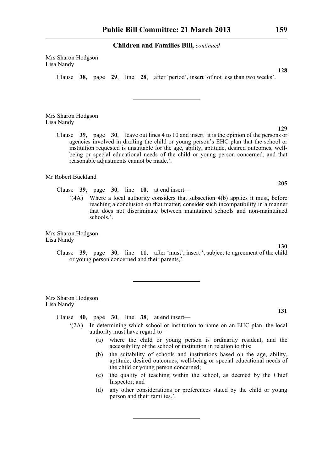Mrs Sharon Hodgson Lisa Nandy

Clause **38**, page **29**, line **28**, after 'period', insert 'of not less than two weeks'.

Mrs Sharon Hodgson Lisa Nandy

> Clause **39**, page **30**, leave out lines 4 to 10 and insert 'it is the opinion of the persons or agencies involved in drafting the child or young person's EHC plan that the school or institution requested is unsuitable for the age, ability, aptitude, desired outcomes, wellbeing or special educational needs of the child or young person concerned, and that reasonable adjustments cannot be made.'.

Mr Robert Buckland

Clause **39**, page **30**, line **10**, at end insert—

'(4A) Where a local authority considers that subsection 4(b) applies it must, before reaching a conclusion on that matter, consider such incompatibility in a manner that does not discriminate between maintained schools and non-maintained schools.'.

Mrs Sharon Hodgson Lisa Nandy

> Clause **39**, page **30**, line **11**, after 'must', insert ', subject to agreement of the child or young person concerned and their parents,'.

Mrs Sharon Hodgson Lisa Nandy

Clause **40**, page **30**, line **38**, at end insert—

- '(2A) In determining which school or institution to name on an EHC plan, the local authority must have regard to—
	- (a) where the child or young person is ordinarily resident, and the accessibility of the school or institution in relation to this;
	- (b) the suitability of schools and institutions based on the age, ability, aptitude, desired outcomes, well-being or special educational needs of the child or young person concerned;
	- (c) the quality of teaching within the school, as deemed by the Chief Inspector; and
	- (d) any other considerations or preferences stated by the child or young person and their families.'.

**128**

**129**

**205**

**130**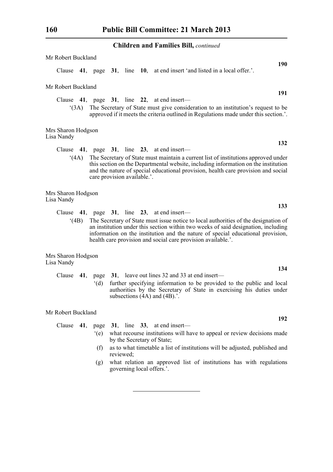| Mr Robert Buckland               |      |                             |  |                                                                                                                                                                                                                                                                                                                                                                           |     |
|----------------------------------|------|-----------------------------|--|---------------------------------------------------------------------------------------------------------------------------------------------------------------------------------------------------------------------------------------------------------------------------------------------------------------------------------------------------------------------------|-----|
| Clause                           |      |                             |  | 41, page 31, line 10, at end insert 'and listed in a local offer.'.                                                                                                                                                                                                                                                                                                       | 190 |
| Mr Robert Buckland               |      |                             |  |                                                                                                                                                                                                                                                                                                                                                                           | 191 |
| Clause<br>(3A)                   |      |                             |  | 41, page $31$ , line 22, at end insert—<br>The Secretary of State must give consideration to an institution's request to be<br>approved if it meets the criteria outlined in Regulations made under this section.'.                                                                                                                                                       |     |
| Mrs Sharon Hodgson<br>Lisa Nandy |      |                             |  |                                                                                                                                                                                                                                                                                                                                                                           |     |
|                                  |      |                             |  | Clause $41$ , page $31$ , line $23$ , at end insert—                                                                                                                                                                                                                                                                                                                      | 132 |
|                                  | (4A) | care provision available.'. |  | The Secretary of State must maintain a current list of institutions approved under<br>this section on the Departmental website, including information on the institution<br>and the nature of special educational provision, health care provision and social                                                                                                             |     |
| Mrs Sharon Hodgson<br>Lisa Nandy |      |                             |  |                                                                                                                                                                                                                                                                                                                                                                           |     |
| Clause<br>(4B)                   |      |                             |  | 41, page $31$ , line $23$ , at end insert—<br>The Secretary of State must issue notice to local authorities of the designation of<br>an institution under this section within two weeks of said designation, including<br>information on the institution and the nature of special educational provision,<br>health care provision and social care provision available.'. | 133 |
| Mrs Sharon Hodgson<br>Lisa Nandy |      |                             |  |                                                                                                                                                                                                                                                                                                                                                                           |     |
| Clause                           | 41,  | page<br>$\mathrm{d}(d)$     |  | 31, leave out lines 32 and 33 at end insert—<br>further specifying information to be provided to the public and local<br>authorities by the Secretary of State in exercising his duties under<br>subsections $(4A)$ and $(4B)$ .'.                                                                                                                                        | 134 |
| Mr Robert Buckland               |      |                             |  |                                                                                                                                                                                                                                                                                                                                                                           | 192 |
| Clause                           | 41,  | page                        |  | 31, line $33$ , at end insert—                                                                                                                                                                                                                                                                                                                                            |     |
|                                  |      | $\degree$ (e)               |  | what recourse institutions will have to appeal or review decisions made<br>by the Secretary of State;                                                                                                                                                                                                                                                                     |     |

- (f) as to what timetable a list of institutions will be adjusted, published and reviewed;
- (g) what relation an approved list of institutions has with regulations governing local offers.'.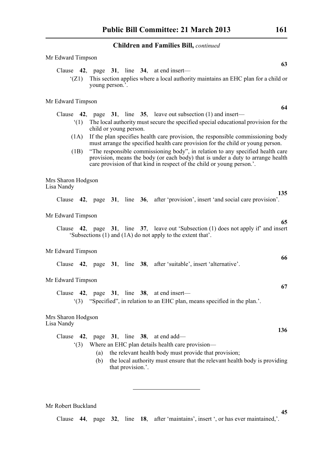'(Z1) This section applies where a local authority maintains an EHC plan for a child or

Clause **42**, page **31**, line **34**, at end insert—

young person.'.

| Mr Edward Timpson                |                                                                                                                                                                                                                                             |
|----------------------------------|---------------------------------------------------------------------------------------------------------------------------------------------------------------------------------------------------------------------------------------------|
|                                  | 64                                                                                                                                                                                                                                          |
|                                  | Clause $\,$ 42, page $\,$ 31, line $\,$ 35, leave out subsection (1) and insert—                                                                                                                                                            |
| (1)                              | The local authority must secure the specified special educational provision for the<br>child or young person.                                                                                                                               |
| (1A)                             | If the plan specifies health care provision, the responsible commissioning body<br>must arrange the specified health care provision for the child or young person.                                                                          |
| (1B)                             | "The responsible commissioning body", in relation to any specified health care<br>provision, means the body (or each body) that is under a duty to arrange health<br>care provision of that kind in respect of the child or young person.'. |
| Mrs Sharon Hodgson<br>Lisa Nandy |                                                                                                                                                                                                                                             |
|                                  | 135<br>Clause 42, page 31, line 36, after 'provision', insert 'and social care provision'.                                                                                                                                                  |
| Mr Edward Timpson                |                                                                                                                                                                                                                                             |
|                                  | 65<br>Clause 42, page 31, line 37, leave out 'Subsection (1) does not apply if' and insert<br>'Subsections (1) and (1A) do not apply to the extent that'.                                                                                   |
| Mr Edward Timpson                |                                                                                                                                                                                                                                             |
|                                  | 66<br>Clause 42, page 31, line 38, after 'suitable', insert 'alternative'.                                                                                                                                                                  |
| Mr Edward Timpson                |                                                                                                                                                                                                                                             |
|                                  | 67                                                                                                                                                                                                                                          |
|                                  | Clause $42$ , page $31$ , line $38$ , at end insert—<br>"(3) "Specified", in relation to an EHC plan, means specified in the plan."                                                                                                         |
| Mrs Sharon Hodgson<br>Lisa Nandy |                                                                                                                                                                                                                                             |
|                                  | 136<br>Clause $42$ , page $31$ , line $38$ , at end add—                                                                                                                                                                                    |
| (3)                              | Where an EHC plan details health care provision-                                                                                                                                                                                            |
|                                  | the relevant health body must provide that provision;<br>(a)                                                                                                                                                                                |
|                                  | the local authority must ensure that the relevant health body is providing<br>(b)<br>that provision.'.                                                                                                                                      |
|                                  |                                                                                                                                                                                                                                             |

Mr Robert Buckland

Mr Edward Timpson

Clause **44**, page **32**, line **18**, after 'maintains', insert ', or has ever maintained,'.

**63**

**64**

**135**

**65**

**66**

**67**

**136**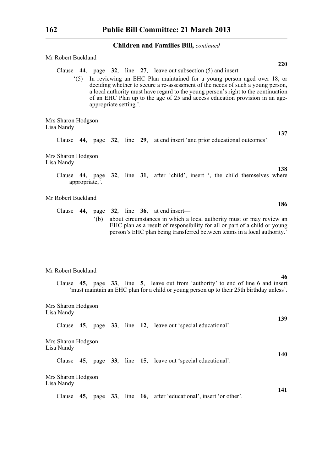| Mr Robert Buckland                                                                                                                                                                                                                                                                                                                                                                                                                                 |            |
|----------------------------------------------------------------------------------------------------------------------------------------------------------------------------------------------------------------------------------------------------------------------------------------------------------------------------------------------------------------------------------------------------------------------------------------------------|------------|
| Clause $\,$ 44, page $\,$ 32, line $\,$ 27, leave out subsection (5) and insert—<br>(5) In reviewing an EHC Plan maintained for a young person aged over 18, or<br>deciding whether to secure a re-assessment of the needs of such a young person,<br>a local authority must have regard to the young person's right to the continuation<br>of an EHC Plan up to the age of 25 and access education provision in an age-<br>appropriate setting.'. | <b>220</b> |
| Mrs Sharon Hodgson<br>Lisa Nandy                                                                                                                                                                                                                                                                                                                                                                                                                   |            |
| Clause 44, page 32, line 29, at end insert 'and prior educational outcomes'.                                                                                                                                                                                                                                                                                                                                                                       | 137        |
| Mrs Sharon Hodgson<br>Lisa Nandy                                                                                                                                                                                                                                                                                                                                                                                                                   |            |
| Clause 44, page 32, line 31, after 'child', insert ', the child themselves where<br>appropriate,'.                                                                                                                                                                                                                                                                                                                                                 | 138        |
| Mr Robert Buckland                                                                                                                                                                                                                                                                                                                                                                                                                                 | 186        |
| Clause $44$ , page $32$ , line $36$ , at end insert—<br>about circumstances in which a local authority must or may review an<br>$^{\circ}$ (b)<br>EHC plan as a result of responsibility for all or part of a child or young<br>person's EHC plan being transferred between teams in a local authority.'                                                                                                                                           |            |
| Mr Robert Buckland                                                                                                                                                                                                                                                                                                                                                                                                                                 |            |
| Clause 45, page 33, line 5, leave out from 'authority' to end of line 6 and insert<br>'must maintain an EHC plan for a child or young person up to their 25th birthday unless'.                                                                                                                                                                                                                                                                    | 46         |
| Mrs Sharon Hodgson<br>Lisa Nandy                                                                                                                                                                                                                                                                                                                                                                                                                   |            |
| 45, page 33, line 12, leave out 'special educational'.<br>Clause                                                                                                                                                                                                                                                                                                                                                                                   | 139        |
| Mrs Sharon Hodgson<br>Lisa Nandy                                                                                                                                                                                                                                                                                                                                                                                                                   | 140        |
| 45, page 33, line 15, leave out 'special educational'.<br>Clause                                                                                                                                                                                                                                                                                                                                                                                   |            |
| Mrs Sharon Hodgson<br>Lisa Nandy                                                                                                                                                                                                                                                                                                                                                                                                                   |            |
| page 33, line 16, after 'educational', insert 'or other'.<br>Clause<br>45,                                                                                                                                                                                                                                                                                                                                                                         | 141        |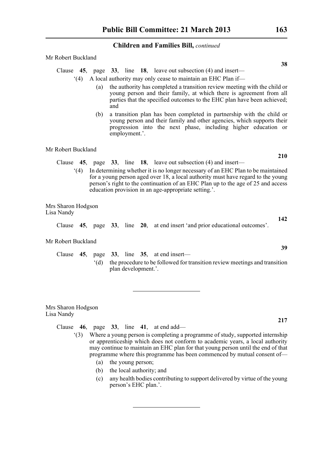Mr Robert Buckland

Clause **45**, page **33**, line **18**, leave out subsection (4) and insert—

'(4) A local authority may only cease to maintain an EHC Plan if—

- (a) the authority has completed a transition review meeting with the child or young person and their family, at which there is agreement from all parties that the specified outcomes to the EHC plan have been achieved; and
- (b) a transition plan has been completed in partnership with the child or young person and their family and other agencies, which supports their progression into the next phase, including higher education or employment.'.

Mr Robert Buckland

- Clause **45**, page **33**, line **18**, leave out subsection (4) and insert—
	- '(4) In determining whether it is no longer necessary of an EHC Plan to be maintained for a young person aged over 18, a local authority must have regard to the young person's right to the continuation of an EHC Plan up to the age of 25 and access education provision in an age-appropriate setting.'.

Mrs Sharon Hodgson Lisa Nandy

Clause **45**, page **33**, line **20**, at end insert 'and prior educational outcomes'.

Mr Robert Buckland

Clause **45**, page **33**, line **35**, at end insert— '(d) the procedure to be followed for transition review meetings and transition plan development.'.

Mrs Sharon Hodgson Lisa Nandy

Clause **46**, page **33**, line **41**, at end add—

- '(3) Where a young person is completing a programme of study, supported internship or apprenticeship which does not conform to academic years, a local authority may continue to maintain an EHC plan for that young person until the end of that programme where this programme has been commenced by mutual consent of—
	- (a) the young person;
	- (b) the local authority; and
	- (c) any health bodies contributing to support delivered by virtue of the young person's EHC plan.'.

**38**

**142**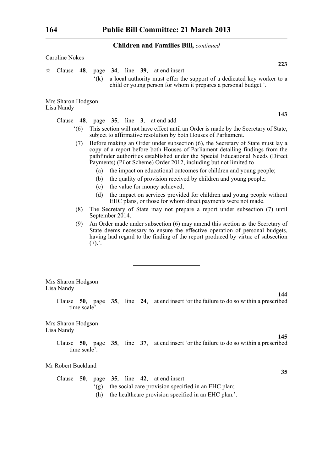|                                  | <b>Children and Families Bill, continued</b>                                                                                                                                                                                                                                                                            |
|----------------------------------|-------------------------------------------------------------------------------------------------------------------------------------------------------------------------------------------------------------------------------------------------------------------------------------------------------------------------|
| Caroline Nokes                   |                                                                                                                                                                                                                                                                                                                         |
| Clause<br>48,<br>☆               | 223<br>page 34, line 39, at end insert-                                                                                                                                                                                                                                                                                 |
| $\hat{f}(k)$                     | a local authority must offer the support of a dedicated key worker to a<br>child or young person for whom it prepares a personal budget.'.                                                                                                                                                                              |
| Mrs Sharon Hodgson<br>Lisa Nandy |                                                                                                                                                                                                                                                                                                                         |
|                                  | 143<br>Clause $48$ , page $35$ , line $3$ , at end add—                                                                                                                                                                                                                                                                 |
| (6)                              | This section will not have effect until an Order is made by the Secretary of State,<br>subject to affirmative resolution by both Houses of Parliament.                                                                                                                                                                  |
| (7)                              | Before making an Order under subsection (6), the Secretary of State must lay a<br>copy of a report before both Houses of Parliament detailing findings from the<br>pathfinder authorities established under the Special Educational Needs (Direct<br>Payments) (Pilot Scheme) Order 2012, including but not limited to- |
| (a)<br>(b)                       | the impact on educational outcomes for children and young people;<br>the quality of provision received by children and young people;<br>the value for money achieved;                                                                                                                                                   |
| (c)<br>(d)                       | the impact on services provided for children and young people without<br>EHC plans, or those for whom direct payments were not made.                                                                                                                                                                                    |
| (8)                              | The Secretary of State may not prepare a report under subsection (7) until<br>September 2014.                                                                                                                                                                                                                           |
| (9)<br>(7).'.                    | An Order made under subsection (6) may amend this section as the Secretary of<br>State deems necessary to ensure the effective operation of personal budgets,<br>having had regard to the finding of the report produced by virtue of subsection                                                                        |
|                                  |                                                                                                                                                                                                                                                                                                                         |
| Mrs Sharon Hodgson<br>Lisa Nandy |                                                                                                                                                                                                                                                                                                                         |
| time scale'.                     | 144<br>Clause 50, page 35, line 24, at end insert 'or the failure to do so within a prescribed                                                                                                                                                                                                                          |
| Mrs Sharon Hodgson<br>Lisa Nandy |                                                                                                                                                                                                                                                                                                                         |
| time scale'.                     | 145<br>Clause 50, page 35, line 37, at end insert 'or the failure to do so within a prescribed                                                                                                                                                                                                                          |
| Mr Robert Buckland               |                                                                                                                                                                                                                                                                                                                         |
|                                  | 35                                                                                                                                                                                                                                                                                                                      |

|  |                                                          |  |  | Clause 50, page 35, line 42, at end insert—             |
|--|----------------------------------------------------------|--|--|---------------------------------------------------------|
|  |                                                          |  |  | (g) the social care provision specified in an EHC plan; |
|  | (h) the healthcare provision specified in an EHC plan.'. |  |  |                                                         |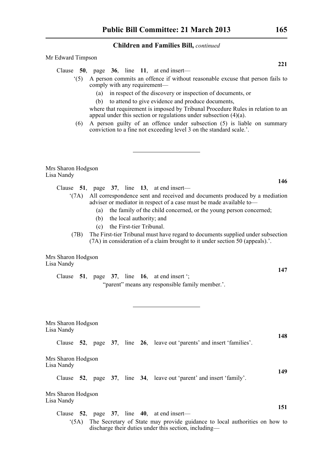'(5) A person commits an offence if without reasonable excuse that person fails to

Clause **50**, page **36**, line **11**, at end insert—

Mr Edward Timpson

| comply with any requirement—<br>in respect of the discovery or inspection of documents, or<br>(a)<br>to attend to give evidence and produce documents,<br>(b)<br>where that requirement is imposed by Tribunal Procedure Rules in relation to an<br>appeal under this section or regulations under subsection $(4)(a)$ .<br>A person guilty of an offence under subsection (5) is liable on summary<br>(6)<br>conviction to a fine not exceeding level 3 on the standard scale.'. |
|-----------------------------------------------------------------------------------------------------------------------------------------------------------------------------------------------------------------------------------------------------------------------------------------------------------------------------------------------------------------------------------------------------------------------------------------------------------------------------------|
| Mrs Sharon Hodgson<br>Lisa Nandy                                                                                                                                                                                                                                                                                                                                                                                                                                                  |
| 146<br>Clause $51$ , page $37$ , line $13$ , at end insert—                                                                                                                                                                                                                                                                                                                                                                                                                       |
| All correspondence sent and received and documents produced by a mediation<br>$^{\circ}$ (7A)<br>adviser or mediator in respect of a case must be made available to-<br>the family of the child concerned, or the young person concerned;<br>(a)<br>the local authority; and<br>(b)<br>the First-tier Tribunal.<br>(c)                                                                                                                                                            |
| The First-tier Tribunal must have regard to documents supplied under subsection<br>(7B)<br>(7A) in consideration of a claim brought to it under section 50 (appeals).'.                                                                                                                                                                                                                                                                                                           |
| Mrs Sharon Hodgson<br>Lisa Nandy                                                                                                                                                                                                                                                                                                                                                                                                                                                  |
| 147<br>Clause $51$ , page $37$ , line $16$ , at end insert ";<br>"parent" means any responsible family member.".                                                                                                                                                                                                                                                                                                                                                                  |
| Mrs Sharon Hodgson<br>Lisa Nandy<br>148                                                                                                                                                                                                                                                                                                                                                                                                                                           |
| Clause 52, page 37, line 26, leave out 'parents' and insert 'families'.                                                                                                                                                                                                                                                                                                                                                                                                           |
| Mrs Sharon Hodgson<br>Lisa Nandy                                                                                                                                                                                                                                                                                                                                                                                                                                                  |
| 149<br>Clause 52, page 37, line 34, leave out 'parent' and insert 'family'.                                                                                                                                                                                                                                                                                                                                                                                                       |
| Mrs Sharon Hodgson<br>Lisa Nandy                                                                                                                                                                                                                                                                                                                                                                                                                                                  |
| 151<br>Clause $52$ , page $37$ , line $40$ , at end insert—                                                                                                                                                                                                                                                                                                                                                                                                                       |
| The Secretary of State may provide guidance to local authorities on how to<br>(5A)<br>discharge their duties under this section, including-                                                                                                                                                                                                                                                                                                                                       |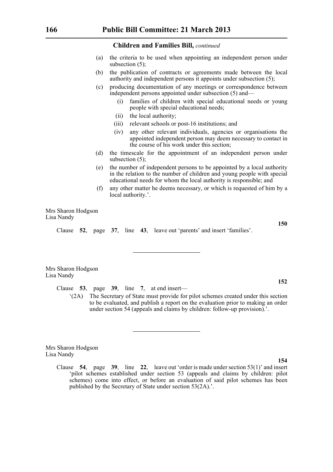- (a) the criteria to be used when appointing an independent person under subsection (5);
- (b) the publication of contracts or agreements made between the local authority and independent persons it appoints under subsection (5);
- (c) producing documentation of any meetings or correspondence between independent persons appointed under subsection (5) and—
	- (i) families of children with special educational needs or young people with special educational needs;
	- (ii) the local authority;
	- (iii) relevant schools or post-16 institutions; and
	- (iv) any other relevant individuals, agencies or organisations the appointed independent person may deem necessary to contact in the course of his work under this section;
- (d) the timescale for the appointment of an independent person under subsection (5);
- (e) the number of independent persons to be appointed by a local authority in the relation to the number of children and young people with special educational needs for whom the local authority is responsible; and
- (f) any other matter he deems necessary, or which is requested of him by a local authority.'.

Mrs Sharon Hodgson Lisa Nandy

Clause **52**, page **37**, line **43**, leave out 'parents' and insert 'families'.

Lisa Nandy

Clause **53**, page **39**, line **7**, at end insert—

'(2A) The Secretary of State must provide for pilot schemes created under this section to be evaluated, and publish a report on the evaluation prior to making an order under section 54 (appeals and claims by children: follow-up provision).'.

Mrs Sharon Hodgson Lisa Nandy

> Clause **54**, page **39**, line **22**, leave out 'order is made under section 53(1)' and insert 'pilot schemes established under section 53 (appeals and claims by children: pilot schemes) come into effect, or before an evaluation of said pilot schemes has been published by the Secretary of State under section 53(2A).'.

Mrs Sharon Hodgson

**152**

**154**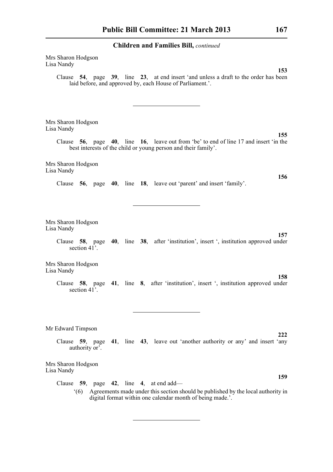Mrs Sharon Hodgson Lisa Nandy **153** Clause **54**, page **39**, line **23**, at end insert 'and unless a draft to the order has been laid before, and approved by, each House of Parliament.'. Mrs Sharon Hodgson Lisa Nandy **155** Clause **56**, page **40**, line **16**, leave out from 'be' to end of line 17 and insert 'in the best interests of the child or young person and their family'. Mrs Sharon Hodgson Lisa Nandy **156** Clause **56**, page **40**, line **18**, leave out 'parent' and insert 'family'. Mrs Sharon Hodgson Lisa Nandy **157** Clause **58**, page **40**, line **38**, after 'institution', insert ', institution approved under section  $41$ <sup>\*</sup>. Mrs Sharon Hodgson Lisa Nandy **158** Clause **58**, page **41**, line **8**, after 'institution', insert ', institution approved under section  $41^{\degree}$ . Mr Edward Timpson **222** Clause **59**, page **41**, line **43**, leave out 'another authority or any' and insert 'any authority or'. Mrs Sharon Hodgson Lisa Nandy **159** Clause **59**, page **42**, line **4**, at end add— '(6) Agreements made under this section should be published by the local authority in digital format within one calendar month of being made.'.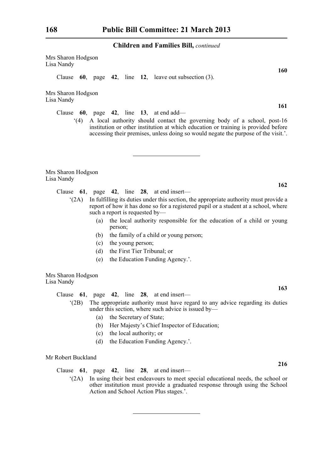Mrs Sharon Hodgson Lisa Nandy

Clause **60**, page **42**, line **12**, leave out subsection (3).

Mrs Sharon Hodgson Lisa Nandy

Clause **60**, page **42**, line **13**, at end add—

'(4) A local authority should contact the governing body of a school, post-16 institution or other institution at which education or training is provided before accessing their premises, unless doing so would negate the purpose of the visit.'.

Mrs Sharon Hodgson Lisa Nandy

Clause **61**, page **42**, line **28**, at end insert—

- '(2A) In fulfilling its duties under this section, the appropriate authority must provide a report of how it has done so for a registered pupil or a student at a school, where such a report is requested by—
	- (a) the local authority responsible for the education of a child or young person;
	- (b) the family of a child or young person;
	- (c) the young person;
	- (d) the First Tier Tribunal; or
	- (e) the Education Funding Agency.'.

Mrs Sharon Hodgson Lisa Nandy

Clause **61**, page **42**, line **28**, at end insert—

- '(2B) The appropriate authority must have regard to any advice regarding its duties under this section, where such advice is issued by—
	- (a) the Secretary of State;
	- (b) Her Majesty's Chief Inspector of Education;
	- (c) the local authority; or
	- (d) the Education Funding Agency.'.

Mr Robert Buckland

Clause **61**, page **42**, line **28**, at end insert—

'(2A) In using their best endeavours to meet special educational needs, the school or other institution must provide a graduated response through using the School Action and School Action Plus stages.'.

**161**

**160**

**162**

**163**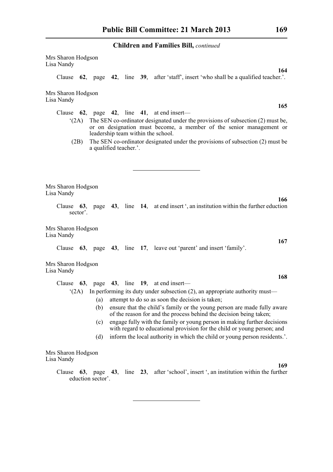Mrs Sharon Hodgson Lisa Nandy

Clause **62**, page **42**, line **39**, after 'staff', insert 'who shall be a qualified teacher.'.

Mrs Sharon Hodgson Lisa Nandy

Clause **62**, page **42**, line **41**, at end insert—

- '(2A) The SEN co-ordinator designated under the provisions of subsection (2) must be, or on designation must become, a member of the senior management or leadership team within the school.
	- (2B) The SEN co-ordinator designated under the provisions of subsection (2) must be a qualified teacher.'.

Mrs Sharon Hodgson Lisa Nandy

> Clause **63**, page **43**, line **14**, at end insert ', an institution within the further eduction sector'.

Mrs Sharon Hodgson Lisa Nandy

Clause **63**, page **43**, line **17**, leave out 'parent' and insert 'family'.

Mrs Sharon Hodgson Lisa Nandy

| Clause $63$ .      |     |  | page 43, line 19, at end insert-                                                                                                                    |
|--------------------|-----|--|-----------------------------------------------------------------------------------------------------------------------------------------------------|
| (2A)               |     |  | In performing its duty under subsection $(2)$ , an appropriate authority must—                                                                      |
|                    | (a) |  | attempt to do so as soon the decision is taken;                                                                                                     |
|                    | (b) |  | ensure that the child's family or the young person are made fully aware<br>of the reason for and the process behind the decision being taken;       |
|                    | (c) |  | engage fully with the family or young person in making further decisions<br>with regard to educational provision for the child or young person; and |
|                    | (d) |  | inform the local authority in which the child or young person residents                                                                             |
| Mrs Sharon Hodgson |     |  |                                                                                                                                                     |
| Lisa Nandy         |     |  |                                                                                                                                                     |

Clause **63**, page **43**, line **23**, after 'school', insert ', an institution within the further eduction sector'.

**165**

**164**

**167**

**166**

**168**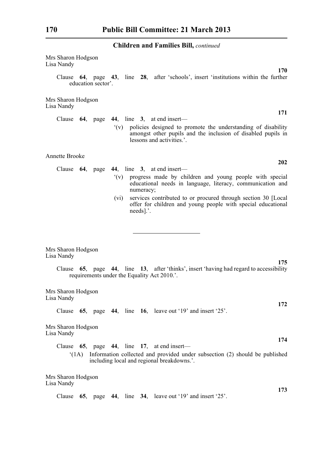| Mrs Sharon Hodgson<br>Lisa Nandy                                                                                                                                                           |
|--------------------------------------------------------------------------------------------------------------------------------------------------------------------------------------------|
| 170<br>Clause 64, page 43, line 28, after 'schools', insert 'institutions within the further<br>education sector'.                                                                         |
| Mrs Sharon Hodgson<br>Lisa Nandy                                                                                                                                                           |
| 171<br>Clause $64$ , page $44$ , line 3, at end insert—                                                                                                                                    |
| policies designed to promote the understanding of disability<br>$\mathbf{Y}(\mathbf{v})$<br>amongst other pupils and the inclusion of disabled pupils in<br>lessons and activities.'.      |
| <b>Annette Brooke</b>                                                                                                                                                                      |
| 202<br>Clause $64$ , page $44$ , line 3, at end insert—                                                                                                                                    |
| (y)<br>progress made by children and young people with special<br>educational needs in language, literacy, communication and<br>numeracy;                                                  |
| services contributed to or procured through section 30 [Local]<br>(vi)<br>offer for children and young people with special educational<br>$needs$ $\therefore$                             |
|                                                                                                                                                                                            |
| Mrs Sharon Hodgson<br>Lisa Nandy                                                                                                                                                           |
| 175<br>Clause 65, page 44, line 13, after 'thinks', insert 'having had regard to accessibility<br>requirements under the Equality Act 2010.'.                                              |
| Mrs Sharon Hodgson<br>Lisa Nandy                                                                                                                                                           |
| 172<br>65, page 44, line 16, leave out '19' and insert '25'.<br>Clause                                                                                                                     |
| Mrs Sharon Hodgson<br>Lisa Nandy                                                                                                                                                           |
| 174<br>65, page 44, line 17, at end insert—<br>Clause<br>Information collected and provided under subsection (2) should be published<br>(1A)<br>including local and regional breakdowns.'. |
| Mrs Sharon Hodgson<br>Lisa Nandy                                                                                                                                                           |
| 173<br>65, page 44, line 34, leave out '19' and insert '25'.<br>Clause                                                                                                                     |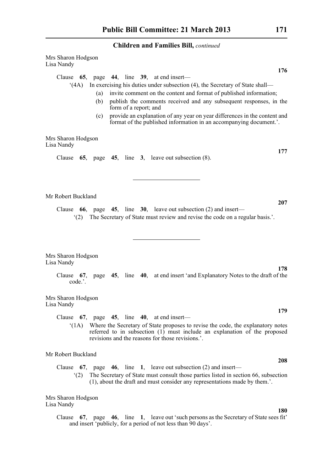Mrs Sharon Hodgson Lisa Nandy **176** Clause **65**, page **44**, line **39**, at end insert— '(4A) In exercising his duties under subsection (4), the Secretary of State shall— (a) invite comment on the content and format of published information; (b) publish the comments received and any subsequent responses, in the form of a report; and (c) provide an explanation of any year on year differences in the content and format of the published information in an accompanying document.'. Mrs Sharon Hodgson Lisa Nandy **177** Clause **65**, page **45**, line **3**, leave out subsection (8). Mr Robert Buckland **207** Clause **66**, page **45**, line **30**, leave out subsection (2) and insert— '(2) The Secretary of State must review and revise the code on a regular basis.'. Mrs Sharon Hodgson Lisa Nandy **178** Clause **67**, page **45**, line **40**, at end insert 'and Explanatory Notes to the draft of the code.'. Mrs Sharon Hodgson Lisa Nandy **179** Clause **67**, page **45**, line **40**, at end insert— '(1A) Where the Secretary of State proposes to revise the code, the explanatory notes referred to in subsection (1) must include an explanation of the proposed revisions and the reasons for those revisions.'. Mr Robert Buckland **208** Clause **67**, page **46**, line **1**, leave out subsection (2) and insert— '(2) The Secretary of State must consult those parties listed in section 66, subsection (1), about the draft and must consider any representations made by them.'. Mrs Sharon Hodgson Lisa Nandy **180**

Clause **67**, page **46**, line **1**, leave out 'such persons as the Secretary of State sees fit' and insert 'publicly, for a period of not less than 90 days'.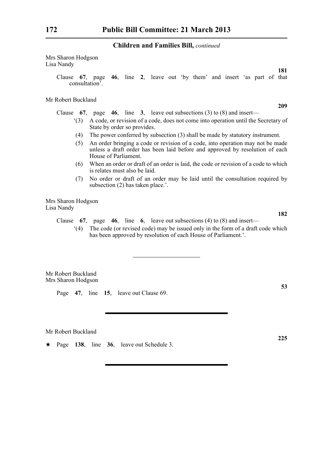Mrs Sharon Hodgson Lisa Nandy

> Clause **67**, page **46**, line **2**, leave out 'by them' and insert 'as part of that consultation'.

Mr Robert Buckland

Clause **67**, page **46**, line **3**, leave out subsections (3) to (8) and insert—

- '(3) A code, or revision of a code, does not come into operation until the Secretary of State by order so provides.
- (4) The power conferred by subsection (3) shall be made by statutory instrument.
- (5) An order bringing a code or revision of a code, into operation may not be made unless a draft order has been laid before and approved by resolution of each House of Parliament.
- (6) When an order or draft of an order is laid, the code or revision of a code to which is relates must also be laid.
- (7) No order or draft of an order may be laid until the consultation required by subsection (2) has taken place.'.

Mrs Sharon Hodgson Lisa Nandy

Clause **67**, page **46**, line **6**, leave out subsections (4) to (8) and insert—

'(4) The code (or revised code) may be issued only in the form of a draft code which has been approved by resolution of each House of Parliament.'.

Mr Robert Buckland Mrs Sharon Hodgson

Page **47**, line **15**, leave out Clause 69.

Mr Robert Buckland

\* Page **138**, line **36**, leave out Schedule 3.

**225**

**53**

**209**

**181**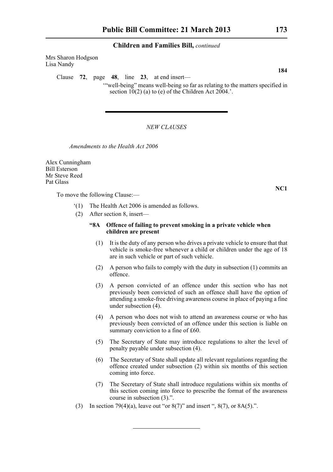Mrs Sharon Hodgson Lisa Nandy

Clause **72**, page **48**, line **23**, at end insert—

'"well-being" means well-being so far as relating to the matters specified in section  $10(2)$  (a) to (e) of the Children Act 2004.'.

#### *NEW CLAUSES*

*Amendments to the Health Act 2006*

Alex Cunningham Bill Esterson Mr Steve Reed Pat Glass

To move the following Clause:—

- '(1) The Health Act 2006 is amended as follows.
- (2) After section 8, insert—

### **"8A Offence of failing to prevent smoking in a private vehicle when children are present**

- (1) It is the duty of any person who drives a private vehicle to ensure that that vehicle is smoke-free whenever a child or children under the age of 18 are in such vehicle or part of such vehicle.
- (2) A person who fails to comply with the duty in subsection (1) commits an offence.
- (3) A person convicted of an offence under this section who has not previously been convicted of such an offence shall have the option of attending a smoke-free driving awareness course in place of paying a fine under subsection (4).
- (4) A person who does not wish to attend an awareness course or who has previously been convicted of an offence under this section is liable on summary conviction to a fine of £60.
- (5) The Secretary of State may introduce regulations to alter the level of penalty payable under subsection (4).
- (6) The Secretary of State shall update all relevant regulations regarding the offence created under subsection (2) within six months of this section coming into force.
- (7) The Secretary of State shall introduce regulations within six months of this section coming into force to prescribe the format of the awareness course in subsection (3).".
- (3) In section 79(4)(a), leave out "or  $8(7)$ " and insert ",  $8(7)$ , or  $8A(5)$ .".

**184**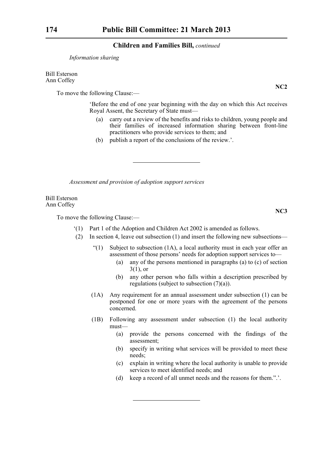#### *Information sharing*

Bill Esterson Ann Coffey

To move the following Clause:—

'Before the end of one year beginning with the day on which this Act receives Royal Assent, the Secretary of State must—

- (a) carry out a review of the benefits and risks to children, young people and their families of increased information sharing between front-line practitioners who provide services to them; and
- (b) publish a report of the conclusions of the review.'.

*Assessment and provision of adoption support services*

Bill Esterson Ann Coffey

To move the following Clause:—

- '(1) Part 1 of the Adoption and Children Act 2002 is amended as follows.
- (2) In section 4, leave out subsection (1) and insert the following new subsections—
	- "(1) Subject to subsection  $(1A)$ , a local authority must in each year offer an assessment of those persons' needs for adoption support services to—
		- (a) any of the persons mentioned in paragraphs (a) to (c) of section  $3(1)$ , or
		- (b) any other person who falls within a description prescribed by regulations (subject to subsection (7)(a)).
	- (1A) Any requirement for an annual assessment under subsection (1) can be postponed for one or more years with the agreement of the persons concerned.
	- (1B) Following any assessment under subsection (1) the local authority must—
		- (a) provide the persons concerned with the findings of the assessment;
		- (b) specify in writing what services will be provided to meet these needs;
		- (c) explain in writing where the local authority is unable to provide services to meet identified needs; and
		- (d) keep a record of all unmet needs and the reasons for them.".'.

**NC2**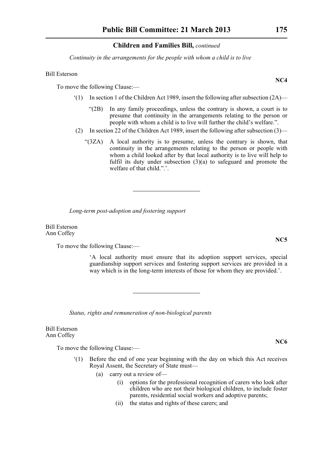*Continuity in the arrangements for the people with whom a child is to live*

#### Bill Esterson

To move the following Clause:—

- $(1)$  In section 1 of the Children Act 1989, insert the following after subsection  $(2A)$ 
	- "(2B) In any family proceedings, unless the contrary is shown, a court is to presume that continuity in the arrangements relating to the person or people with whom a child is to live will further the child's welfare.".
- (2) In section 22 of the Children Act 1989, insert the following after subsection (3)—
	- "(3ZA) A local authority is to presume, unless the contrary is shown, that continuity in the arrangements relating to the person or people with whom a child looked after by that local authority is to live will help to fulfil its duty under subsection (3)(a) to safeguard and promote the welfare of that child.".'.

*Long-term post-adoption and fostering support*

Bill Esterson Ann Coffey

To move the following Clause:—

'A local authority must ensure that its adoption support services, special guardianship support services and fostering support services are provided in a way which is in the long-term interests of those for whom they are provided.'.

*Status, rights and remuneration of non-biological parents*

Bill Esterson Ann Coffey

To move the following Clause:—

- '(1) Before the end of one year beginning with the day on which this Act receives Royal Assent, the Secretary of State must—
	- (a) carry out a review of—
		- (i) options for the professional recognition of carers who look after children who are not their biological children, to include foster parents, residential social workers and adoptive parents;
		- (ii) the status and rights of these carers; and

**NC5**

**NC4**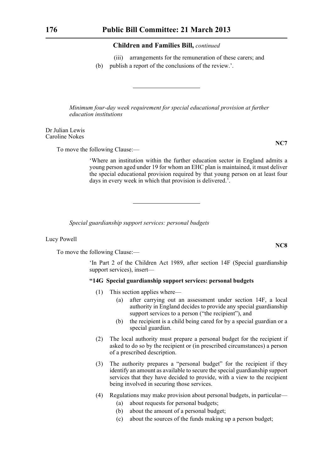(iii) arrangements for the remuneration of these carers; and (b) publish a report of the conclusions of the review.'.

*Minimum four-day week requirement for special educational provision at further education institutions*

Dr Julian Lewis Caroline Nokes

To move the following Clause:—

'Where an institution within the further education sector in England admits a young person aged under 19 for whom an EHC plan is maintained, it must deliver the special educational provision required by that young person on at least four days in every week in which that provision is delivered.'.

*Special guardianship support services: personal budgets*

Lucy Powell

To move the following Clause:—

'In Part 2 of the Children Act 1989, after section 14F (Special guardianship support services), insert—

#### **"14G Special guardianship support services: personal budgets**

- (1) This section applies where—
	- (a) after carrying out an assessment under section 14F, a local authority in England decides to provide any special guardianship support services to a person ("the recipient"), and
	- (b) the recipient is a child being cared for by a special guardian or a special guardian.
- (2) The local authority must prepare a personal budget for the recipient if asked to do so by the recipient or (in prescribed circumstances) a person of a prescribed description.
- (3) The authority prepares a "personal budget" for the recipient if they identify an amount as available to secure the special guardianship support services that they have decided to provide, with a view to the recipient being involved in securing those services.
- (4) Regulations may make provision about personal budgets, in particular—
	- (a) about requests for personal budgets;
	- (b) about the amount of a personal budget;
	- (c) about the sources of the funds making up a person budget;

**NC7**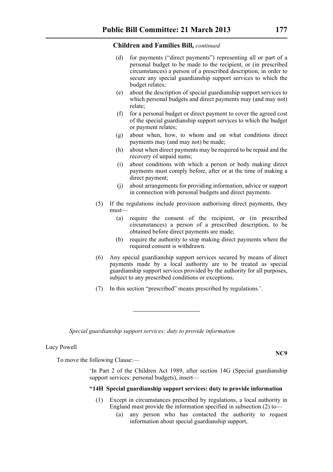- (d) for payments ("direct payments") representing all or part of a personal budget to be made to the recipient, or (in prescribed circumstances) a person of a prescribed description, in order to secure any special guardianship support services to which the budget relates;
- (e) about the description of special guardianship support services to which personal budgets and direct payments may (and may not) relate;
- (f) for a personal budget or direct payment to cover the agreed cost of the special guardianship support services to which the budget or payment relates;
- (g) about when, how, to whom and on what conditions direct payments may (and may not) be made;
- (h) about when direct payments may be required to be repaid and the recovery of unpaid sums;
- (i) about conditions with which a person or body making direct payments must comply before, after or at the time of making a direct payment;
- (j) about arrangements for providing information, advice or support in connection with personal budgets and direct payments.
- (5) If the regulations include provision authorising direct payments, they must—
	- (a) require the consent of the recipient, or (in prescribed circumstances) a person of a prescribed description, to be obtained before direct payments are made;
	- (b) require the authority to stop making direct payments where the required consent is withdrawn.
- (6) Any special guardianship support services secured by means of direct payments made by a local authority are to be treated as special guardianship support services provided by the authority for all purposes, subject to any prescribed conditions or exceptions.
- (7) In this section "prescribed" means prescribed by regulations.'.

*Special guardianship support services: duty to provide information*

# Lucy Powell

To move the following Clause:—

'In Part 2 of the Children Act 1989, after section 14G (Special guardianship support services: personal budgets), insert—

#### **"14H Special guardianship support services: duty to provide information**

- (1) Except in circumstances prescribed by regulations, a local authority in England must provide the information specified in subsection (2) to—
	- (a) any person who has contacted the authority to request information about special guardianship support,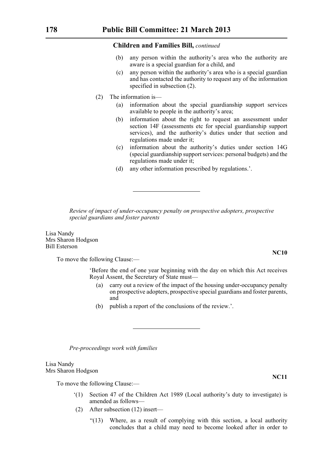- (b) any person within the authority's area who the authority are aware is a special guardian for a child, and
- (c) any person within the authority's area who is a special guardian and has contacted the authority to request any of the information specified in subsection (2).
- (2) The information is—
	- (a) information about the special guardianship support services available to people in the authority's area;
	- (b) information about the right to request an assessment under section 14F (assessments etc for special guardianship support services), and the authority's duties under that section and regulations made under it;
	- (c) information about the authority's duties under section 14G (special guardianship support services: personal budgets) and the regulations made under it;
	- (d) any other information prescribed by regulations.'.

*Review of impact of under-occupancy penalty on prospective adopters, prospective special guardians and foster parents*

Lisa Nandy Mrs Sharon Hodgson Bill Esterson

To move the following Clause:—

'Before the end of one year beginning with the day on which this Act receives Royal Assent, the Secretary of State must—

- (a) carry out a review of the impact of the housing under-occupancy penalty on prospective adopters, prospective special guardians and foster parents, and
- (b) publish a report of the conclusions of the review.'.

*Pre-proceedings work with families*

Lisa Nandy Mrs Sharon Hodgson

To move the following Clause:—

- '(1) Section 47 of the Children Act 1989 (Local authority's duty to investigate) is amended as follows—
- (2) After subsection (12) insert—
	- "(13) Where, as a result of complying with this section, a local authority concludes that a child may need to become looked after in order to

**NC10**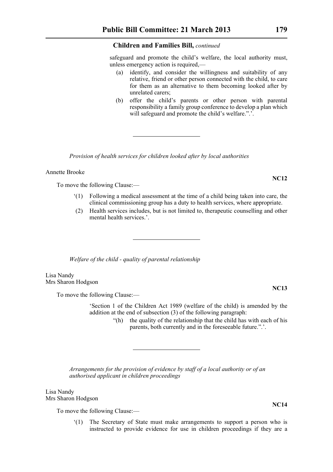safeguard and promote the child's welfare, the local authority must, unless emergency action is required,—

- (a) identify, and consider the willingness and suitability of any relative, friend or other person connected with the child, to care for them as an alternative to them becoming looked after by unrelated carers;
- (b) offer the child's parents or other person with parental responsibility a family group conference to develop a plan which will safeguard and promote the child's welfare.".'.

*Provision of health services for children looked after by local authorities*

Annette Brooke

To move the following Clause:—

- '(1) Following a medical assessment at the time of a child being taken into care, the clinical commissioning group has a duty to health services, where appropriate.
- (2) Health services includes, but is not limited to, therapeutic counselling and other mental health services.'.

*Welfare of the child - quality of parental relationship*

Lisa Nandy Mrs Sharon Hodgson

To move the following Clause:—

'Section 1 of the Children Act 1989 (welfare of the child) is amended by the addition at the end of subsection (3) of the following paragraph:

> "(h) the quality of the relationship that the child has with each of his parents, both currently and in the foreseeable future.".'.

*Arrangements for the provision of evidence by staff of a local authority or of an authorised applicant in children proceedings*

Lisa Nandy Mrs Sharon Hodgson

To move the following Clause:—

'(1) The Secretary of State must make arrangements to support a person who is instructed to provide evidence for use in children proceedings if they are a

**NC13**

**NC14**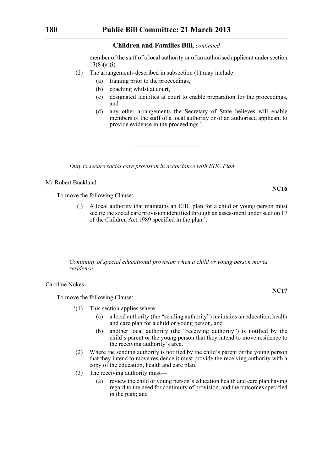member of the staff of a local authority or of an authorised applicant under section  $13(8)(a)(i)$ .

- (2) The arrangements described in subsection (1) may include—
	- (a) training prior to the proceedings,
	- (b) coaching whilst at court,
	- (c) designated facilities at court to enable preparation for the proceedings, and
	- (d) any other arrangements the Secretary of State believes will enable members of the staff of a local authority or of an authorised applicant to provide evidence in the proceedings.'.

*Duty to secure social care provision in accordance with EHC Plan*

#### Mr Robert Buckland

To move the following Clause:—

'( ) A local authority that maintains an EHC plan for a child or young person must secure the social care provision identified through an assessment under section 17 of the Children Act 1989 specified in the plan.'.

*Continuity of special educational provision when a child or young person moves residence*

Caroline Nokes

To move the following Clause:—

- '(1) This section applies where—
	- (a) a local authority (the "sending authority") maintains an education, health and care plan for a child or young person, and
	- (b) another local authority (the "receiving authority") is notified by the child's parent or the young person that they intend to move residence to the receiving authority's area.
- (2) Where the sending authority is notified by the child's parent or the young person that they intend to move residence it must provide the receiving authority with a copy of the education, health and care plan.
- (3) The receiving authority must—
	- (a) review the child or young person's education health and care plan having regard to the need for continuity of provision, and the outcomes specified in the plan; and

**NC16**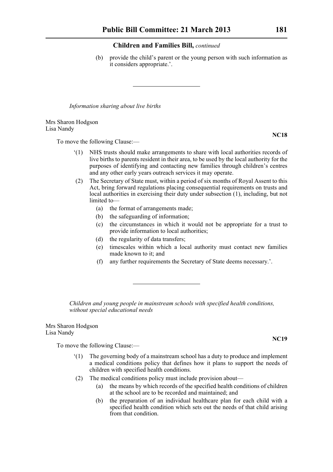(b) provide the child's parent or the young person with such information as it considers appropriate.'.

*Information sharing about live births*

#### Mrs Sharon Hodgson Lisa Nandy

To move the following Clause:—

- '(1) NHS trusts should make arrangements to share with local authorities records of live births to parents resident in their area, to be used by the local authority for the purposes of identifying and contacting new families through children's centres and any other early years outreach services it may operate.
- (2) The Secretary of State must, within a period of six months of Royal Assent to this Act, bring forward regulations placing consequential requirements on trusts and local authorities in exercising their duty under subsection (1), including, but not limited to—
	- (a) the format of arrangements made;
	- (b) the safeguarding of information;
	- (c) the circumstances in which it would not be appropriate for a trust to provide information to local authorities;
	- (d) the regularity of data transfers;
	- (e) timescales within which a local authority must contact new families made known to it; and
	- (f) any further requirements the Secretary of State deems necessary.'.

*Children and young people in mainstream schools with specified health conditions, without special educational needs*

Mrs Sharon Hodgson Lisa Nandy

To move the following Clause:—

- '(1) The governing body of a mainstream school has a duty to produce and implement a medical conditions policy that defines how it plans to support the needs of children with specified health conditions.
- (2) The medical conditions policy must include provision about—
	- (a) the means by which records of the specified health conditions of children at the school are to be recorded and maintained; and
	- (b) the preparation of an individual healthcare plan for each child with a specified health condition which sets out the needs of that child arising from that condition.

**NC19**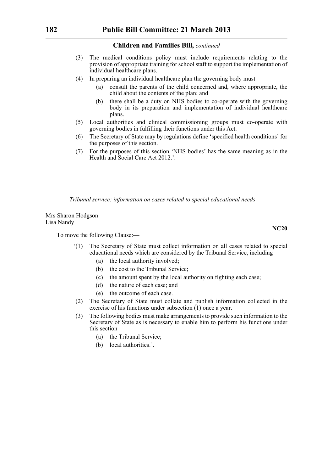- (3) The medical conditions policy must include requirements relating to the provision of appropriate training for school staff to support the implementation of individual healthcare plans.
- (4) In preparing an individual healthcare plan the governing body must—
	- (a) consult the parents of the child concerned and, where appropriate, the child about the contents of the plan; and
	- (b) there shall be a duty on NHS bodies to co-operate with the governing body in its preparation and implementation of individual healthcare plans.
- (5) Local authorities and clinical commissioning groups must co-operate with governing bodies in fulfilling their functions under this Act.
- (6) The Secretary of State may by regulations define 'specified health conditions' for the purposes of this section.
- (7) For the purposes of this section 'NHS bodies' has the same meaning as in the Health and Social Care Act 2012.'.

*Tribunal service: information on cases related to special educational needs*

Mrs Sharon Hodgson Lisa Nandy

To move the following Clause:—

- '(1) The Secretary of State must collect information on all cases related to special educational needs which are considered by the Tribunal Service, including—
	- (a) the local authority involved;
	- (b) the cost to the Tribunal Service;
	- (c) the amount spent by the local authority on fighting each case;
	- (d) the nature of each case; and
	- (e) the outcome of each case.
- (2) The Secretary of State must collate and publish information collected in the exercise of his functions under subsection  $(1)$  once a year.
- (3) The following bodies must make arrangements to provide such information to the Secretary of State as is necessary to enable him to perform his functions under this section—
	- (a) the Tribunal Service;
	- (b) local authorities.'.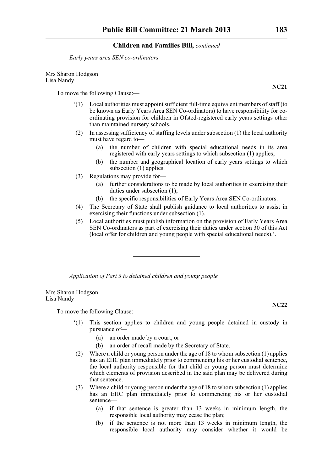*Early years area SEN co-ordinators*

Mrs Sharon Hodgson Lisa Nandy

To move the following Clause:—

- '(1) Local authorities must appoint sufficient full-time equivalent members of staff (to be known as Early Years Area SEN Co-ordinators) to have responsibility for coordinating provision for children in Ofsted-registered early years settings other than maintained nursery schools.
- (2) In assessing sufficiency of staffing levels under subsection (1) the local authority must have regard to—
	- (a) the number of children with special educational needs in its area registered with early years settings to which subsection (1) applies;
	- (b) the number and geographical location of early years settings to which subsection (1) applies.
- (3) Regulations may provide for—
	- (a) further considerations to be made by local authorities in exercising their duties under subsection (1);
	- (b) the specific responsibilities of Early Years Area SEN Co-ordinators.
- (4) The Secretary of State shall publish guidance to local authorities to assist in exercising their functions under subsection (1).
- (5) Local authorities must publish information on the provision of Early Years Area SEN Co-ordinators as part of exercising their duties under section 30 of this Act (local offer for children and young people with special educational needs).'.

*Application of Part 3 to detained children and young people*

Mrs Sharon Hodgson Lisa Nandy

To move the following Clause:—

- '(1) This section applies to children and young people detained in custody in pursuance of—
	- (a) an order made by a court, or
	- (b) an order of recall made by the Secretary of State.
- (2) Where a child or young person under the age of 18 to whom subsection (1) applies has an EHC plan immediately prior to commencing his or her custodial sentence, the local authority responsible for that child or young person must determine which elements of provision described in the said plan may be delivered during that sentence.
- (3) Where a child or young person under the age of 18 to whom subsection (1) applies has an EHC plan immediately prior to commencing his or her custodial sentence—
	- (a) if that sentence is greater than 13 weeks in minimum length, the responsible local authority may cease the plan;
	- (b) if the sentence is not more than 13 weeks in minimum length, the responsible local authority may consider whether it would be

**NC21**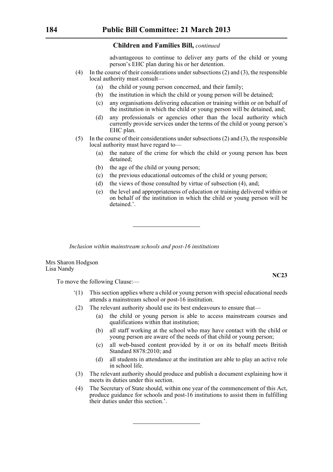advantageous to continue to deliver any parts of the child or young person's EHC plan during his or her detention.

- (4) In the course of their considerations under subsections (2) and (3), the responsible local authority must consult—
	- (a) the child or young person concerned, and their family;
	- (b) the institution in which the child or young person will be detained;
	- (c) any organisations delivering education or training within or on behalf of the institution in which the child or young person will be detained, and;
	- (d) any professionals or agencies other than the local authority which currently provide services under the terms of the child or young person's EHC plan.
- (5) In the course of their considerations under subsections (2) and (3), the responsible local authority must have regard to—
	- (a) the nature of the crime for which the child or young person has been detained;
	- (b) the age of the child or young person;
	- (c) the previous educational outcomes of the child or young person;
	- (d) the views of those consulted by virtue of subsection (4), and;
	- (e) the level and appropriateness of education or training delivered within or on behalf of the institution in which the child or young person will be detained.'.

*Inclusion within mainstream schools and post-16 institutions*

Mrs Sharon Hodgson Lisa Nandy

To move the following Clause:—

- This section applies where a child or young person with special educational needs attends a mainstream school or post-16 institution.
- (2) The relevant authority should use its best endeavours to ensure that—
	- (a) the child or young person is able to access mainstream courses and qualifications within that institution;
	- (b) all staff working at the school who may have contact with the child or young person are aware of the needs of that child or young person;
	- (c) all web-based content provided by it or on its behalf meets British Standard 8878:2010; and
	- (d) all students in attendance at the institution are able to play an active role in school life.
- (3) The relevant authority should produce and publish a document explaining how it meets its duties under this section.
- (4) The Secretary of State should, within one year of the commencement of this Act, produce guidance for schools and post-16 institutions to assist them in fulfilling their duties under this section.'.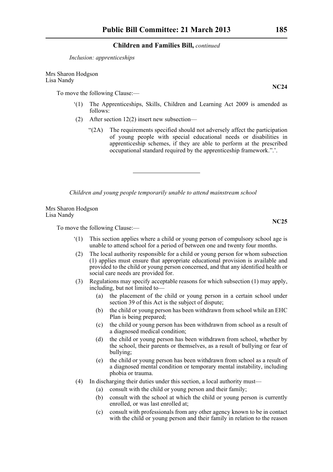*Inclusion: apprenticeships*

Mrs Sharon Hodgson Lisa Nandy

To move the following Clause:—

- '(1) The Apprenticeships, Skills, Children and Learning Act 2009 is amended as follows:
- (2) After section 12(2) insert new subsection—
	- "(2A) The requirements specified should not adversely affect the participation of young people with special educational needs or disabilities in apprenticeship schemes, if they are able to perform at the prescribed occupational standard required by the apprenticeship framework.".'.

*Children and young people temporarily unable to attend mainstream school*

Mrs Sharon Hodgson Lisa Nandy

To move the following Clause:—

- '(1) This section applies where a child or young person of compulsory school age is unable to attend school for a period of between one and twenty four months.
- (2) The local authority responsible for a child or young person for whom subsection (1) applies must ensure that appropriate educational provision is available and provided to the child or young person concerned, and that any identified health or social care needs are provided for.
- (3) Regulations may specify acceptable reasons for which subsection (1) may apply, including, but not limited to—
	- (a) the placement of the child or young person in a certain school under section 39 of this Act is the subject of dispute;
	- (b) the child or young person has been withdrawn from school while an EHC Plan is being prepared;
	- (c) the child or young person has been withdrawn from school as a result of a diagnosed medical condition;
	- (d) the child or young person has been withdrawn from school, whether by the school, their parents or themselves, as a result of bullying or fear of bullying;
	- (e) the child or young person has been withdrawn from school as a result of a diagnosed mental condition or temporary mental instability, including phobia or trauma.
- (4) In discharging their duties under this section, a local authority must—
	- (a) consult with the child or young person and their family;
	- (b) consult with the school at which the child or young person is currently enrolled, or was last enrolled at;
	- (c) consult with professionals from any other agency known to be in contact with the child or young person and their family in relation to the reason

**NC24**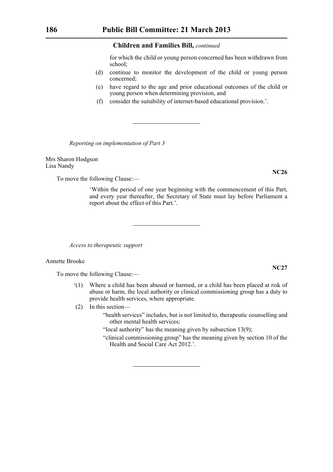for which the child or young person concerned has been withdrawn from school;

- (d) continue to monitor the development of the child or young person concerned;
- (e) have regard to the age and prior educational outcomes of the child or young person when determining provision, and
- (f) consider the suitability of internet-based educational provision.'.

*Reporting on implementation of Part 3*

Mrs Sharon Hodgson Lisa Nandy

To move the following Clause:—

'Within the period of one year beginning with the commencement of this Part, and every year thereafter, the Secretary of State must lay before Parliament a report about the effect of this Part.'.

*Access to therapeutic support*

#### Annette Brooke

To move the following Clause:—

- '(1) Where a child has been abused or harmed, or a child has been placed at risk of abuse or harm, the local authority or clinical commissioning group has a duty to provide health services, where appropriate.
- (2) In this section—
	- "health services" includes, but is not limited to, therapeutic counselling and other mental health services;

"local authority" has the meaning given by subsection 13(9);

"clinical commissioning group" has the meaning given by section 10 of the Health and Social Care Act 2012.'.

**NC26**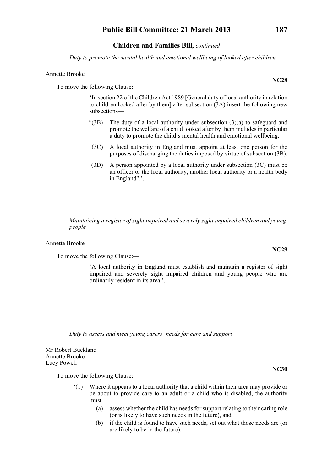*Duty to promote the mental health and emotional wellbeing of looked after children*

#### Annette Brooke

To move the following Clause:—

'In section 22 of the Children Act 1989 [General duty of local authority in relation to children looked after by them] after subsection (3A) insert the following new subsections—

- "(3B) The duty of a local authority under subsection  $(3)(a)$  to safeguard and promote the welfare of a child looked after by them includes in particular a duty to promote the child's mental health and emotional wellbeing.
- (3C) A local authority in England must appoint at least one person for the purposes of discharging the duties imposed by virtue of subsection (3B).
- (3D) A person appointed by a local authority under subsection (3C) must be an officer or the local authority, another local authority or a health body in England".'.

*Maintaining a register of sight impaired and severely sight impaired children and young people*

Annette Brooke

To move the following Clause:—

'A local authority in England must establish and maintain a register of sight impaired and severely sight impaired children and young people who are ordinarily resident in its area.'.

*Duty to assess and meet young carers' needs for care and support*

Mr Robert Buckland Annette Brooke Lucy Powell

To move the following Clause:—

- '(1) Where it appears to a local authority that a child within their area may provide or be about to provide care to an adult or a child who is disabled, the authority must—
	- (a) assess whether the child has needs for support relating to their caring role (or is likely to have such needs in the future), and
	- (b) if the child is found to have such needs, set out what those needs are (or are likely to be in the future).

**NC28**

**NC29**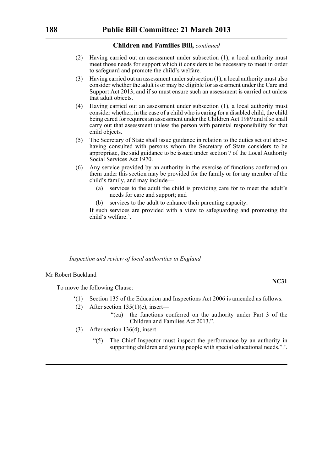- (2) Having carried out an assessment under subsection (1), a local authority must meet those needs for support which it considers to be necessary to meet in order to safeguard and promote the child's welfare.
- (3) Having carried out an assessment under subsection (1), a local authority must also consider whether the adult is or may be eligible for assessment under the Care and Support Act 2013, and if so must ensure such an assessment is carried out unless that adult objects.
- (4) Having carried out an assessment under subsection (1), a local authority must consider whether, in the case of a child who is caring for a disabled child, the child being cared for requires an assessment under the Children Act 1989 and if so shall carry out that assessment unless the person with parental responsibility for that child objects.
- (5) The Secretary of State shall issue guidance in relation to the duties set out above having consulted with persons whom the Secretary of State considers to be appropriate, the said guidance to be issued under section 7 of the Local Authority Social Services Act 1970.
- (6) Any service provided by an authority in the exercise of functions conferred on them under this section may be provided for the family or for any member of the child's family, and may include—
	- (a) services to the adult the child is providing care for to meet the adult's needs for care and support; and
	- (b) services to the adult to enhance their parenting capacity.

If such services are provided with a view to safeguarding and promoting the child's welfare.'.

*Inspection and review of local authorities in England*

#### Mr Robert Buckland

To move the following Clause:—

- '(1) Section 135 of the Education and Inspections Act 2006 is amended as follows.
- (2) After section  $135(1)(e)$ , insert—
	- "(ea) the functions conferred on the authority under Part 3 of the Children and Families Act 2013.".
- (3) After section 136(4), insert—
	- "(5) The Chief Inspector must inspect the performance by an authority in supporting children and young people with special educational needs.".'.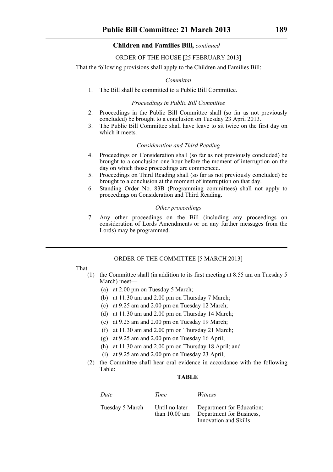#### ORDER OF THE HOUSE [25 FEBRUARY 2013]

That the following provisions shall apply to the Children and Families Bill:

#### *Committal*

1. The Bill shall be committed to a Public Bill Committee.

#### *Proceedings in Public Bill Committee*

- 2. Proceedings in the Public Bill Committee shall (so far as not previously concluded) be brought to a conclusion on Tuesday 23 April 2013.
- 3. The Public Bill Committee shall have leave to sit twice on the first day on which it meets.

#### *Consideration and Third Reading*

- 4. Proceedings on Consideration shall (so far as not previously concluded) be brought to a conclusion one hour before the moment of interruption on the day on which those proceedings are commenced.
- 5. Proceedings on Third Reading shall (so far as not previously concluded) be brought to a conclusion at the moment of interruption on that day.
- 6. Standing Order No. 83B (Programming committees) shall not apply to proceedings on Consideration and Third Reading.

#### *Other proceedings*

7. Any other proceedings on the Bill (including any proceedings on consideration of Lords Amendments or on any further messages from the Lords) may be programmed.

#### ORDER OF THE COMMITTEE [5 MARCH 2013]

That—

- (1) the Committee shall (in addition to its first meeting at 8.55 am on Tuesday 5 March) meet—
	- (a) at 2.00 pm on Tuesday 5 March;
	- (b) at 11.30 am and 2.00 pm on Thursday 7 March;
	- (c) at 9.25 am and 2.00 pm on Tuesday 12 March;
	- (d) at 11.30 am and 2.00 pm on Thursday 14 March;
	- (e) at 9.25 am and 2.00 pm on Tuesday 19 March;
	- (f) at 11.30 am and 2.00 pm on Thursday 21 March;
	- (g) at  $9.25$  am and  $2.00$  pm on Tuesday 16 April;
	- (h) at 11.30 am and 2.00 pm on Thursday 18 April; and
	- (i) at 9.25 am and 2.00 pm on Tuesday 23 April;
- (2) the Committee shall hear oral evidence in accordance with the following Table:

#### **TABLE**

| Date            | Time                                      | Witness                                                                        |
|-----------------|-------------------------------------------|--------------------------------------------------------------------------------|
| Tuesday 5 March | Until no later<br>than $10.00 \text{ am}$ | Department for Education;<br>Department for Business,<br>Innovation and Skills |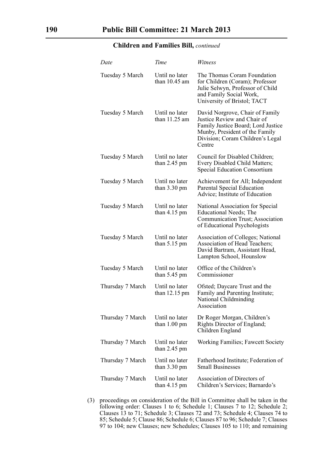| Date             | Time                                      | Witness                                                                                                                                                                              |
|------------------|-------------------------------------------|--------------------------------------------------------------------------------------------------------------------------------------------------------------------------------------|
| Tuesday 5 March  | Until no later<br>than $10.45$ am         | The Thomas Coram Foundation<br>for Children (Coram); Professor<br>Julie Selwyn, Professor of Child<br>and Family Social Work,<br>University of Bristol; TACT                         |
| Tuesday 5 March  | Until no later<br>than $11.25$ am         | David Norgrove, Chair of Family<br>Justice Review and Chair of<br>Family Justice Board; Lord Justice<br>Munby, President of the Family<br>Division; Coram Children's Legal<br>Centre |
| Tuesday 5 March  | Until no later<br>than $2.45$ pm          | Council for Disabled Children;<br>Every Disabled Child Matters;<br><b>Special Education Consortium</b>                                                                               |
| Tuesday 5 March  | Until no later<br>than $3.30 \text{ pm}$  | Achievement for All; Independent<br>Parental Special Education<br>Advice; Institute of Education                                                                                     |
| Tuesday 5 March  | Until no later<br>than $4.15$ pm          | National Association for Special<br>Educational Needs; The<br>Communication Trust; Association<br>of Educational Psychologists                                                       |
| Tuesday 5 March  | Until no later<br>than $5.15 \text{ pm}$  | <b>Association of Colleges; National</b><br>Association of Head Teachers;<br>David Bartram, Assistant Head,<br>Lampton School, Hounslow                                              |
| Tuesday 5 March  | Until no later<br>than $5.45$ pm          | Office of the Children's<br>Commissioner                                                                                                                                             |
| Thursday 7 March | Until no later<br>than $12.15 \text{ pm}$ | Ofsted; Daycare Trust and the<br>Family and Parenting Institute;<br>National Childminding<br>Association                                                                             |
| Thursday 7 March | Until no later<br>than $1.00 \text{ pm}$  | Dr Roger Morgan, Children's<br>Rights Director of England;<br>Children England                                                                                                       |
| Thursday 7 March | Until no later<br>than $2.45$ pm          | Working Families; Fawcett Society                                                                                                                                                    |
| Thursday 7 March | Until no later<br>than $3.30 \text{ pm}$  | Fatherhood Institute; Federation of<br><b>Small Businesses</b>                                                                                                                       |
| Thursday 7 March | Until no later<br>than $4.15 \text{ pm}$  | Association of Directors of<br>Children's Services; Barnardo's                                                                                                                       |
|                  |                                           |                                                                                                                                                                                      |

(3) proceedings on consideration of the Bill in Committee shall be taken in the following order: Clauses 1 to 6; Schedule 1; Clauses 7 to 12; Schedule 2; Clauses 13 to 71; Schedule 3; Clauses 72 and 73; Schedule 4; Clauses 74 to 85; Schedule 5; Clause 86; Schedule 6; Clauses 87 to 96; Schedule 7; Clauses 97 to 104; new Clauses; new Schedules; Clauses 105 to 110; and remaining